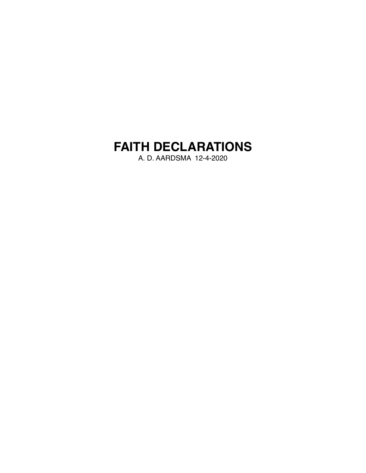# **FAITH DECLARATIONS**

A. D. AARDSMA 12-4-2020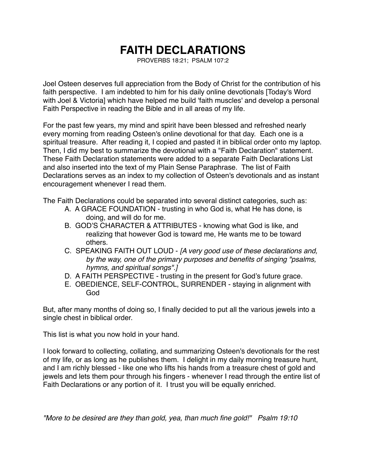## **FAITH DECLARATIONS**

PROVERBS 18:21; PSALM 107:2

Joel Osteen deserves full appreciation from the Body of Christ for the contribution of his faith perspective. I am indebted to him for his daily online devotionals [Today's Word with Joel & Victoria] which have helped me build 'faith muscles' and develop a personal Faith Perspective in reading the Bible and in all areas of my life.

For the past few years, my mind and spirit have been blessed and refreshed nearly every morning from reading Osteen's online devotional for that day. Each one is a spiritual treasure. After reading it, I copied and pasted it in biblical order onto my laptop. Then, I did my best to summarize the devotional with a "Faith Declaration" statement. These Faith Declaration statements were added to a separate Faith Declarations List and also inserted into the text of my Plain Sense Paraphrase. The list of Faith Declarations serves as an index to my collection of Osteen's devotionals and as instant encouragement whenever I read them.

The Faith Declarations could be separated into several distinct categories, such as:

- A. A GRACE FOUNDATION trusting in who God is, what He has done, is doing, and will do for me.
- B. GOD'S CHARACTER & ATTRIBUTES knowing what God is like, and realizing that however God is toward me, He wants me to be toward others.
- C. SPEAKING FAITH OUT LOUD *[A very good use of these declarations and, by the way, one of the primary purposes and benefits of singing "psalms, hymns, and spiritual songs".]*
- D. A FAITH PERSPECTIVE trusting in the present for God's future grace.
- E. OBEDIENCE, SELF-CONTROL, SURRENDER staying in alignment with God

But, after many months of doing so, I finally decided to put all the various jewels into a single chest in biblical order.

This list is what you now hold in your hand.

I look forward to collecting, collating, and summarizing Osteen's devotionals for the rest of my life, or as long as he publishes them. I delight in my daily morning treasure hunt, and I am richly blessed - like one who lifts his hands from a treasure chest of gold and jewels and lets them pour through his fingers - whenever I read through the entire list of Faith Declarations or any portion of it. I trust you will be equally enriched.

*"More to be desired are they than gold, yea, than much fine gold!" Psalm 19:10*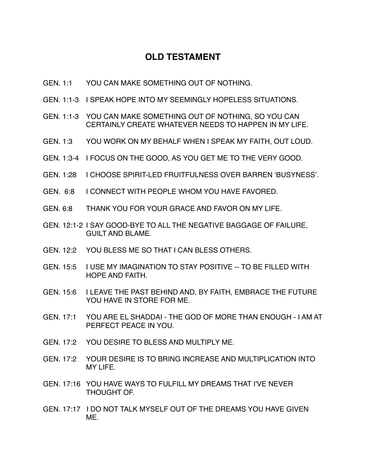## **OLD TESTAMENT**

- GEN. 1:1 YOU CAN MAKE SOMETHING OUT OF NOTHING.
- GEN. 1:1-3 I SPEAK HOPE INTO MY SEEMINGLY HOPELESS SITUATIONS.
- GEN. 1:1-3 YOU CAN MAKE SOMETHING OUT OF NOTHING, SO YOU CAN CERTAINLY CREATE WHATEVER NEEDS TO HAPPEN IN MY LIFE.
- GEN. 1:3 YOU WORK ON MY BEHALF WHEN I SPEAK MY FAITH, OUT LOUD.
- GEN. 1:3-4 I FOCUS ON THE GOOD, AS YOU GET ME TO THE VERY GOOD.
- GEN. 1:28 I CHOOSE SPIRIT-LED FRUITFULNESS OVER BARREN 'BUSYNESS'.
- GEN. 6:8 I CONNECT WITH PEOPLE WHOM YOU HAVE FAVORED.
- GEN. 6:8 THANK YOU FOR YOUR GRACE AND FAVOR ON MY LIFE.
- GEN. 12:1-2 I SAY GOOD-BYE TO ALL THE NEGATIVE BAGGAGE OF FAILURE, GUILT AND BLAME.
- GEN. 12:2 YOU BLESS ME SO THAT I CAN BLESS OTHERS.
- GEN. 15:5 I USE MY IMAGINATION TO STAY POSITIVE -- TO BE FILLED WITH HOPE AND FAITH.
- GEN. 15:6 I LEAVE THE PAST BEHIND AND, BY FAITH, EMBRACE THE FUTURE YOU HAVE IN STORE FOR ME.
- GEN. 17:1 YOU ARE EL SHADDAI THE GOD OF MORE THAN ENOUGH I AM AT PERFECT PEACE IN YOU.
- GEN. 17:2 YOU DESIRE TO BLESS AND MULTIPLY ME.
- GEN. 17:2 YOUR DESIRE IS TO BRING INCREASE AND MULTIPLICATION INTO MY LIFE.
- GEN. 17:16 YOU HAVE WAYS TO FULFILL MY DREAMS THAT I'VE NEVER THOUGHT OF.
- GEN. 17:17 I DO NOT TALK MYSELF OUT OF THE DREAMS YOU HAVE GIVEN ME.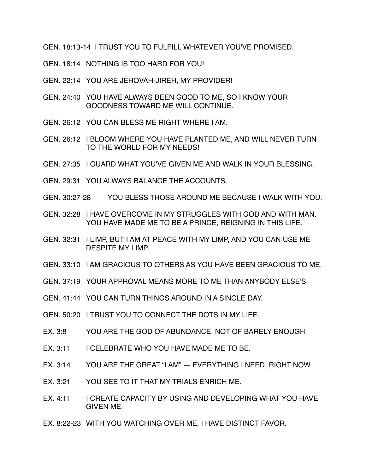GEN. 18:13-14 I TRUST YOU TO FULFILL WHATEVER YOU'VE PROMISED.

GEN. 18:14 NOTHING IS TOO HARD FOR YOU!

- GEN. 22:14 YOU ARE JEHOVAH-JIREH, MY PROVIDER!
- GEN. 24:40 YOU HAVE ALWAYS BEEN GOOD TO ME, SO I KNOW YOUR GOODNESS TOWARD ME WILL CONTINUE.
- GEN. 26:12 YOU CAN BLESS ME RIGHT WHERE I AM.
- GEN. 26:12 I BLOOM WHERE YOU HAVE PLANTED ME, AND WILL NEVER TURN TO THE WORLD FOR MY NEEDS!
- GEN. 27:35 I GUARD WHAT YOU'VE GIVEN ME AND WALK IN YOUR BLESSING.
- GEN. 29:31 YOU ALWAYS BALANCE THE ACCOUNTS.
- GEN. 30:27-28 YOU BLESS THOSE AROUND ME BECAUSE I WALK WITH YOU.
- GEN. 32:28 I HAVE OVERCOME IN MY STRUGGLES WITH GOD AND WITH MAN. YOU HAVE MADE ME TO BE A PRINCE, REIGNING IN THIS LIFE.
- GEN. 32:31 I LIMP, BUT I AM AT PEACE WITH MY LIMP, AND YOU CAN USE ME DESPITE MY LIMP.
- GEN. 33:10 I AM GRACIOUS TO OTHERS AS YOU HAVE BEEN GRACIOUS TO ME.
- GEN. 37:19 YOUR APPROVAL MEANS MORE TO ME THAN ANYBODY ELSE'S.
- GEN. 41:44 YOU CAN TURN THINGS AROUND IN A SINGLE DAY.
- GEN. 50:20 I TRUST YOU TO CONNECT THE DOTS IN MY LIFE.
- EX. 3:8 YOU ARE THE GOD OF ABUNDANCE, NOT OF BARELY ENOUGH.
- EX. 3:11 I CELEBRATE WHO YOU HAVE MADE ME TO BE.
- EX. 3:14 YOU ARE THE GREAT "I AM" EVERYTHING I NEED, RIGHT NOW.
- EX. 3:21 YOU SEE TO IT THAT MY TRIALS ENRICH ME.
- EX. 4:11 I CREATE CAPACITY BY USING AND DEVELOPING WHAT YOU HAVE GIVEN ME.
- EX. 8:22-23 WITH YOU WATCHING OVER ME, I HAVE DISTINCT FAVOR.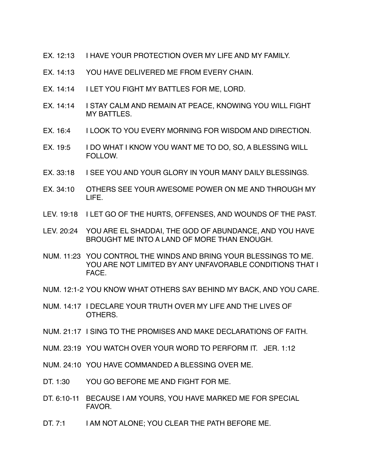- EX. 12:13 I HAVE YOUR PROTECTION OVER MY LIFE AND MY FAMILY.
- EX. 14:13 YOU HAVE DELIVERED ME FROM EVERY CHAIN.
- EX. 14:14 I LET YOU FIGHT MY BATTLES FOR ME, LORD.
- EX. 14:14 I STAY CALM AND REMAIN AT PEACE, KNOWING YOU WILL FIGHT MY BATTLES.
- EX. 16:4 I LOOK TO YOU EVERY MORNING FOR WISDOM AND DIRECTION.
- EX. 19:5 I DO WHAT I KNOW YOU WANT ME TO DO, SO, A BLESSING WILL FOLLOW.
- EX. 33:18 I SEE YOU AND YOUR GLORY IN YOUR MANY DAILY BLESSINGS.
- EX. 34:10 OTHERS SEE YOUR AWESOME POWER ON ME AND THROUGH MY LIFE.
- LEV. 19:18 I LET GO OF THE HURTS, OFFENSES, AND WOUNDS OF THE PAST.
- LEV. 20:24 YOU ARE EL SHADDAI, THE GOD OF ABUNDANCE, AND YOU HAVE BROUGHT ME INTO A LAND OF MORE THAN ENOUGH.
- NUM. 11:23 YOU CONTROL THE WINDS AND BRING YOUR BLESSINGS TO ME. YOU ARE NOT LIMITED BY ANY UNFAVORABLE CONDITIONS THAT I FACE.
- NUM. 12:1-2 YOU KNOW WHAT OTHERS SAY BEHIND MY BACK, AND YOU CARE.
- NUM. 14:17 I DECLARE YOUR TRUTH OVER MY LIFE AND THE LIVES OF OTHERS.
- NUM. 21:17 I SING TO THE PROMISES AND MAKE DECLARATIONS OF FAITH.
- NUM. 23:19 YOU WATCH OVER YOUR WORD TO PERFORM IT. JER. 1:12
- NUM. 24:10 YOU HAVE COMMANDED A BLESSING OVER ME.
- DT. 1:30 YOU GO BEFORE ME AND FIGHT FOR ME.
- DT. 6:10-11 BECAUSE I AM YOURS, YOU HAVE MARKED ME FOR SPECIAL FAVOR.
- DT. 7:1 I AM NOT ALONE; YOU CLEAR THE PATH BEFORE ME.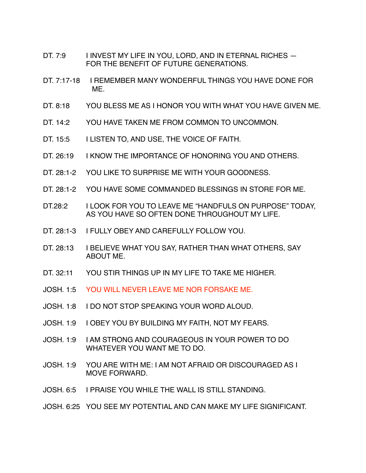- DT. 7:9 I INVEST MY LIFE IN YOU, LORD, AND IN ETERNAL RICHES -FOR THE BENEFIT OF FUTURE GENERATIONS.
- DT. 7:17-18 I REMEMBER MANY WONDERFUL THINGS YOU HAVE DONE FOR ME.
- DT. 8:18 YOU BLESS ME AS I HONOR YOU WITH WHAT YOU HAVE GIVEN ME.
- DT. 14:2 YOU HAVE TAKEN ME FROM COMMON TO UNCOMMON.
- DT. 15:5 I LISTEN TO, AND USE, THE VOICE OF FAITH.
- DT. 26:19 I KNOW THE IMPORTANCE OF HONORING YOU AND OTHERS.
- DT. 28:1-2 YOU LIKE TO SURPRISE ME WITH YOUR GOODNESS.
- DT. 28:1-2 YOU HAVE SOME COMMANDED BLESSINGS IN STORE FOR ME.
- DT.28:2 I LOOK FOR YOU TO LEAVE ME "HANDFULS ON PURPOSE" TODAY, AS YOU HAVE SO OFTEN DONE THROUGHOUT MY LIFE.
- DT. 28:1-3 I FULLY OBEY AND CAREFULLY FOLLOW YOU.
- DT. 28:13 I BELIEVE WHAT YOU SAY, RATHER THAN WHAT OTHERS, SAY ABOUT ME.
- DT. 32:11 YOU STIR THINGS UP IN MY LIFE TO TAKE ME HIGHER.
- JOSH. 1:5 YOU WILL NEVER LEAVE ME NOR FORSAKE ME.
- JOSH. 1:8 I DO NOT STOP SPEAKING YOUR WORD ALOUD.
- JOSH. 1:9 I OBEY YOU BY BUILDING MY FAITH, NOT MY FEARS.
- JOSH. 1:9 I AM STRONG AND COURAGEOUS IN YOUR POWER TO DO WHATEVER YOU WANT ME TO DO.
- JOSH. 1:9 YOU ARE WITH ME: I AM NOT AFRAID OR DISCOURAGED AS I MOVE FORWARD.
- JOSH. 6:5 I PRAISE YOU WHILE THE WALL IS STILL STANDING.

#### JOSH. 6:25 YOU SEE MY POTENTIAL AND CAN MAKE MY LIFE SIGNIFICANT.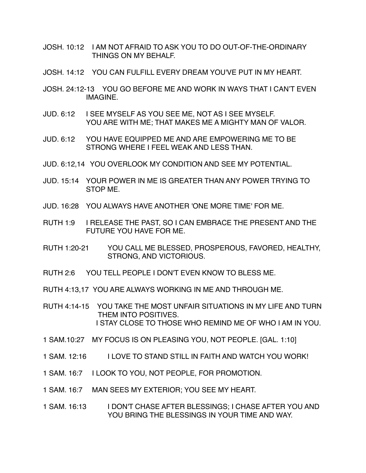- JOSH. 10:12 I AM NOT AFRAID TO ASK YOU TO DO OUT-OF-THE-ORDINARY THINGS ON MY BEHALF.
- JOSH. 14:12 YOU CAN FULFILL EVERY DREAM YOU'VE PUT IN MY HEART.
- JOSH. 24:12-13 YOU GO BEFORE ME AND WORK IN WAYS THAT I CAN'T EVEN IMAGINE.
- JUD. 6:12 I SEE MYSELF AS YOU SEE ME, NOT AS I SEE MYSELF. YOU ARE WITH ME; THAT MAKES ME A MIGHTY MAN OF VALOR.
- JUD. 6:12 YOU HAVE EQUIPPED ME AND ARE EMPOWERING ME TO BE STRONG WHERE I FEEL WEAK AND LESS THAN.
- JUD. 6:12,14 YOU OVERLOOK MY CONDITION AND SEE MY POTENTIAL.
- JUD. 15:14 YOUR POWER IN ME IS GREATER THAN ANY POWER TRYING TO STOP ME.
- JUD. 16:28 YOU ALWAYS HAVE ANOTHER 'ONE MORE TIME' FOR ME.
- RUTH 1:9 I RELEASE THE PAST, SO I CAN EMBRACE THE PRESENT AND THE FUTURE YOU HAVE FOR ME.
- RUTH 1:20-21 YOU CALL ME BLESSED, PROSPEROUS, FAVORED, HEALTHY, STRONG, AND VICTORIOUS.
- RUTH 2:6 YOU TELL PEOPLE I DON'T EVEN KNOW TO BLESS ME.
- RUTH 4:13,17 YOU ARE ALWAYS WORKING IN ME AND THROUGH ME.
- RUTH 4:14-15 YOU TAKE THE MOST UNFAIR SITUATIONS IN MY LIFE AND TURN THEM INTO POSITIVES. I STAY CLOSE TO THOSE WHO REMIND ME OF WHO I AM IN YOU.
- 1 SAM.10:27 MY FOCUS IS ON PLEASING YOU, NOT PEOPLE. [GAL. 1:10]
- 1 SAM. 12:16 I LOVE TO STAND STILL IN FAITH AND WATCH YOU WORK!
- 1 SAM. 16:7 I LOOK TO YOU, NOT PEOPLE, FOR PROMOTION.
- 1 SAM. 16:7 MAN SEES MY EXTERIOR; YOU SEE MY HEART.
- 1 SAM. 16:13 I DON'T CHASE AFTER BLESSINGS; I CHASE AFTER YOU AND YOU BRING THE BLESSINGS IN YOUR TIME AND WAY.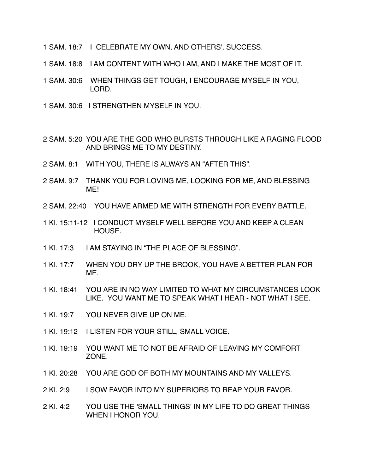- 1 SAM. 18:7 I CELEBRATE MY OWN, AND OTHERS', SUCCESS.
- 1 SAM. 18:8 I AM CONTENT WITH WHO I AM, AND I MAKE THE MOST OF IT.
- 1 SAM. 30:6 WHEN THINGS GET TOUGH, I ENCOURAGE MYSELF IN YOU, LORD.
- 1 SAM. 30:6 I STRENGTHEN MYSELF IN YOU.
- 2 SAM. 5:20 YOU ARE THE GOD WHO BURSTS THROUGH LIKE A RAGING FLOOD AND BRINGS ME TO MY DESTINY.
- 2 SAM. 8:1 WITH YOU, THERE IS ALWAYS AN "AFTER THIS".
- 2 SAM. 9:7 THANK YOU FOR LOVING ME, LOOKING FOR ME, AND BLESSING ME!
- 2 SAM. 22:40 YOU HAVE ARMED ME WITH STRENGTH FOR EVERY BATTLE.
- 1 KI. 15:11-12 I CONDUCT MYSELF WELL BEFORE YOU AND KEEP A CLEAN HOUSE.
- 1 KI. 17:3 I AM STAYING IN "THE PLACE OF BLESSING".
- 1 KI. 17:7 WHEN YOU DRY UP THE BROOK, YOU HAVE A BETTER PLAN FOR ME.
- 1 KI. 18:41 YOU ARE IN NO WAY LIMITED TO WHAT MY CIRCUMSTANCES LOOK LIKE. YOU WANT ME TO SPEAK WHAT I HEAR - NOT WHAT I SEE.
- 1 KI. 19:7 YOU NEVER GIVE UP ON ME.
- 1 KI. 19:12 I LISTEN FOR YOUR STILL, SMALL VOICE.
- 1 KI. 19:19 YOU WANT ME TO NOT BE AFRAID OF LEAVING MY COMFORT ZONE.
- 1 KI. 20:28 YOU ARE GOD OF BOTH MY MOUNTAINS AND MY VALLEYS.
- 2 KI. 2:9 I SOW FAVOR INTO MY SUPERIORS TO REAP YOUR FAVOR.
- 2 KI. 4:2 YOU USE THE 'SMALL THINGS' IN MY LIFE TO DO GREAT THINGS WHEN I HONOR YOU.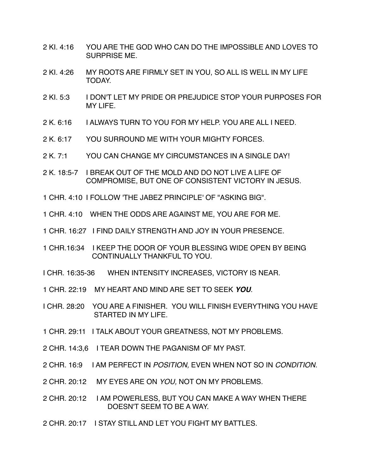- 2 KI. 4:16 YOU ARE THE GOD WHO CAN DO THE IMPOSSIBLE AND LOVES TO SURPRISE ME.
- 2 KI. 4:26 MY ROOTS ARE FIRMLY SET IN YOU, SO ALL IS WELL IN MY LIFE TODAY.
- 2 KI. 5:3 I DON'T LET MY PRIDE OR PREJUDICE STOP YOUR PURPOSES FOR MY LIFE.
- 2 K. 6:16 I ALWAYS TURN TO YOU FOR MY HELP. YOU ARE ALL I NEED.
- 2 K. 6:17 YOU SURROUND ME WITH YOUR MIGHTY FORCES.
- 2 K. 7:1 YOU CAN CHANGE MY CIRCUMSTANCES IN A SINGLE DAY!
- 2 K. 18:5-7 I BREAK OUT OF THE MOLD AND DO NOT LIVE A LIFE OF COMPROMISE, BUT ONE OF CONSISTENT VICTORY IN JESUS.
- 1 CHR. 4:10 I FOLLOW 'THE JABEZ PRINCIPLE' OF "ASKING BIG".
- 1 CHR. 4:10 WHEN THE ODDS ARE AGAINST ME, YOU ARE FOR ME.
- 1 CHR. 16:27 I FIND DAILY STRENGTH AND JOY IN YOUR PRESENCE.
- 1 CHR.16:34 I KEEP THE DOOR OF YOUR BLESSING WIDE OPEN BY BEING CONTINUALLY THANKFUL TO YOU.
- I CHR. 16:35-36 WHEN INTENSITY INCREASES, VICTORY IS NEAR.
- 1 CHR. 22:19 MY HEART AND MIND ARE SET TO SEEK *YOU*.
- I CHR. 28:20 YOU ARE A FINISHER. YOU WILL FINISH EVERYTHING YOU HAVE STARTED IN MY LIFE.
- 1 CHR. 29:11 I TALK ABOUT YOUR GREATNESS, NOT MY PROBLEMS.
- 2 CHR. 14:3,6 I TEAR DOWN THE PAGANISM OF MY PAST.
- 2 CHR. 16:9 I AM PERFECT IN *POSITION,* EVEN WHEN NOT SO IN *CONDITION.*
- 2 CHR. 20:12 MY EYES ARE ON *YOU,* NOT ON MY PROBLEMS.
- 2 CHR. 20:12 I AM POWERLESS, BUT YOU CAN MAKE A WAY WHEN THERE DOESN'T SEEM TO BE A WAY.
- 2 CHR. 20:17 I STAY STILL AND LET YOU FIGHT MY BATTLES.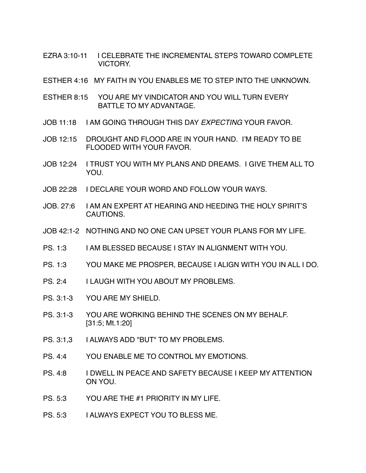- EZRA 3:10-11 I CELEBRATE THE INCREMENTAL STEPS TOWARD COMPLETE VICTORY.
- ESTHER 4:16 MY FAITH IN YOU ENABLES ME TO STEP INTO THE UNKNOWN.
- ESTHER 8:15 YOU ARE MY VINDICATOR AND YOU WILL TURN EVERY BATTLE TO MY ADVANTAGE.
- JOB 11:18 I AM GOING THROUGH THIS DAY *EXPECTING* YOUR FAVOR.
- JOB 12:15 DROUGHT AND FLOOD ARE IN YOUR HAND. I'M READY TO BE FLOODED WITH YOUR FAVOR.
- JOB 12:24 I TRUST YOU WITH MY PLANS AND DREAMS. I GIVE THEM ALL TO YOU.
- JOB 22:28 I DECLARE YOUR WORD AND FOLLOW YOUR WAYS.
- JOB. 27:6 I AM AN EXPERT AT HEARING AND HEEDING THE HOLY SPIRIT'S CAUTIONS.
- JOB 42:1-2 NOTHING AND NO ONE CAN UPSET YOUR PLANS FOR MY LIFE.
- PS. 1:3 I AM BLESSED BECAUSE I STAY IN ALIGNMENT WITH YOU.
- PS. 1:3 YOU MAKE ME PROSPER, BECAUSE I ALIGN WITH YOU IN ALL I DO.
- PS. 2:4 I LAUGH WITH YOU ABOUT MY PROBLEMS.
- PS. 3:1-3 YOU ARE MY SHIELD.
- PS. 3:1-3 YOU ARE WORKING BEHIND THE SCENES ON MY BEHALF. [31:5; Mt.1:20]
- PS. 3:1.3 I ALWAYS ADD "BUT" TO MY PROBLEMS.
- PS. 4:4 YOU ENABLE ME TO CONTROL MY EMOTIONS.
- PS. 4:8 I DWELL IN PEACE AND SAFETY BECAUSE I KEEP MY ATTENTION ON YOU.
- PS. 5:3 YOU ARE THE #1 PRIORITY IN MY LIFE.
- PS. 5:3 I ALWAYS EXPECT YOU TO BLESS ME.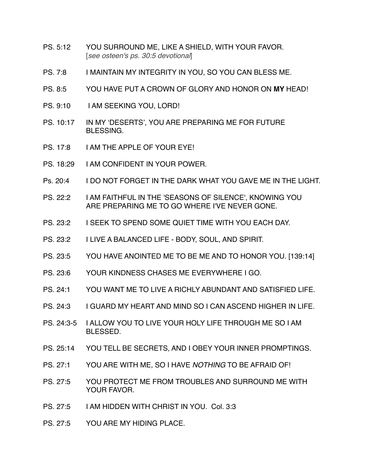- PS. 5:12 YOU SURROUND ME, LIKE A SHIELD, WITH YOUR FAVOR. [*see osteen's ps. 30:5 devotional*]
- PS. 7:8 I MAINTAIN MY INTEGRITY IN YOU, SO YOU CAN BLESS ME.
- PS. 8:5 YOU HAVE PUT A CROWN OF GLORY AND HONOR ON **MY** HEAD!
- PS. 9:10 I AM SEEKING YOU, LORD!
- PS. 10:17 IN MY 'DESERTS', YOU ARE PREPARING ME FOR FUTURE BLESSING.
- PS. 17:8 I AM THE APPLE OF YOUR EYE!
- PS. 18:29 I AM CONFIDENT IN YOUR POWER.
- Ps. 20:4 I DO NOT FORGET IN THE DARK WHAT YOU GAVE ME IN THE LIGHT.
- PS. 22:2 I AM FAITHFUL IN THE 'SEASONS OF SILENCE', KNOWING YOU ARE PREPARING ME TO GO WHERE I'VE NEVER GONE.
- PS. 23:2 I SEEK TO SPEND SOME QUIET TIME WITH YOU EACH DAY.
- PS. 23:2 I LIVE A BALANCED LIFE BODY, SOUL, AND SPIRIT.
- PS. 23:5 YOU HAVE ANOINTED ME TO BE ME AND TO HONOR YOU. [139:14]
- PS. 23:6 YOUR KINDNESS CHASES ME EVERYWHERE I GO.
- PS. 24:1 YOU WANT ME TO LIVE A RICHLY ABUNDANT AND SATISFIED LIFE.
- PS. 24:3 I GUARD MY HEART AND MIND SO I CAN ASCEND HIGHER IN LIFE.
- PS. 24:3-5 I ALLOW YOU TO LIVE YOUR HOLY LIFE THROUGH ME SO I AM BLESSED.
- PS. 25:14 YOU TELL BE SECRETS, AND I OBEY YOUR INNER PROMPTINGS.
- PS. 27:1 YOU ARE WITH ME, SO I HAVE *NOTHING* TO BE AFRAID OF!
- PS. 27:5 YOU PROTECT ME FROM TROUBLES AND SURROUND ME WITH YOUR FAVOR.
- PS. 27:5 I AM HIDDEN WITH CHRIST IN YOU. Col. 3:3
- PS. 27:5 YOU ARE MY HIDING PLACE.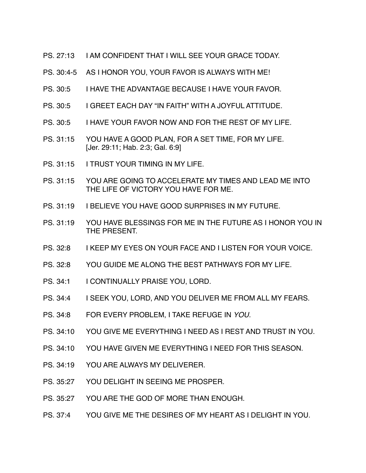- PS. 27:13 I AM CONFIDENT THAT I WILL SEE YOUR GRACE TODAY.
- PS. 30:4-5 AS I HONOR YOU, YOUR FAVOR IS ALWAYS WITH ME!
- PS. 30:5 I HAVE THE ADVANTAGE BECAUSE I HAVE YOUR FAVOR.
- PS. 30:5 I GREET EACH DAY "IN FAITH" WITH A JOYFUL ATTITUDE.
- PS. 30:5 I HAVE YOUR FAVOR NOW AND FOR THE REST OF MY LIFE.
- PS. 31:15 YOU HAVE A GOOD PLAN, FOR A SET TIME, FOR MY LIFE. [Jer. 29:11; Hab. 2:3; Gal. 6:9]
- PS. 31:15 I TRUST YOUR TIMING IN MY LIFE.
- PS. 31:15 YOU ARE GOING TO ACCELERATE MY TIMES AND LEAD ME INTO THE LIFE OF VICTORY YOU HAVE FOR ME.
- PS. 31:19 I BELIEVE YOU HAVE GOOD SURPRISES IN MY FUTURE.
- PS. 31:19 YOU HAVE BLESSINGS FOR ME IN THE FUTURE AS I HONOR YOU IN THE PRESENT.
- PS. 32:8 I KEEP MY EYES ON YOUR FACE AND I LISTEN FOR YOUR VOICE.
- PS. 32:8 YOU GUIDE ME ALONG THE BEST PATHWAYS FOR MY LIFE.
- PS. 34:1 I CONTINUALLY PRAISE YOU, LORD.
- PS. 34:4 I SEEK YOU, LORD, AND YOU DELIVER ME FROM ALL MY FEARS.
- PS. 34:8 FOR EVERY PROBLEM, I TAKE REFUGE IN *YOU.*
- PS. 34:10 YOU GIVE ME EVERYTHING I NEED AS I REST AND TRUST IN YOU.
- PS. 34:10 YOU HAVE GIVEN ME EVERYTHING I NEED FOR THIS SEASON.
- PS. 34:19 YOU ARE ALWAYS MY DELIVERER.
- PS. 35:27 YOU DELIGHT IN SEEING ME PROSPER.
- PS. 35:27 YOU ARE THE GOD OF MORE THAN ENOUGH.
- PS. 37:4 YOU GIVE ME THE DESIRES OF MY HEART AS I DELIGHT IN YOU.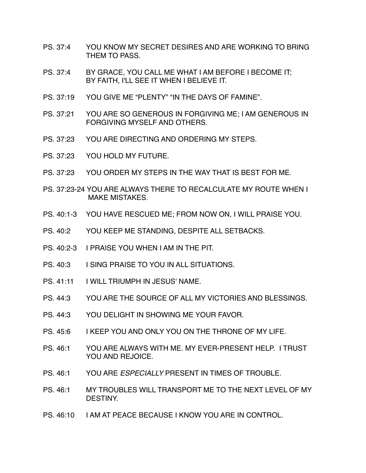- PS. 37:4 YOU KNOW MY SECRET DESIRES AND ARE WORKING TO BRING THEM TO PASS.
- PS. 37:4 BY GRACE, YOU CALL ME WHAT I AM BEFORE I BECOME IT; BY FAITH, I'LL SEE IT WHEN I BELIEVE IT.
- PS. 37:19 YOU GIVE ME "PLENTY" "IN THE DAYS OF FAMINE".
- PS. 37:21 YOU ARE SO GENEROUS IN FORGIVING ME; I AM GENEROUS IN FORGIVING MYSELF AND OTHERS.
- PS. 37:23 YOU ARE DIRECTING AND ORDERING MY STEPS.
- PS. 37:23 YOU HOLD MY FUTURE.
- PS. 37:23 YOU ORDER MY STEPS IN THE WAY THAT IS BEST FOR ME.
- PS. 37:23-24 YOU ARE ALWAYS THERE TO RECALCULATE MY ROUTE WHEN I MAKE MISTAKES.
- PS. 40:1-3 YOU HAVE RESCUED ME; FROM NOW ON, I WILL PRAISE YOU.
- PS. 40:2 YOU KEEP ME STANDING, DESPITE ALL SETBACKS.
- PS. 40:2-3 I PRAISE YOU WHEN I AM IN THE PIT.
- PS. 40:3 | SING PRAISE TO YOU IN ALL SITUATIONS.
- PS. 41:11 I WILL TRIUMPH IN JESUS' NAME.
- PS. 44:3 YOU ARE THE SOURCE OF ALL MY VICTORIES AND BLESSINGS.
- PS. 44:3 YOU DELIGHT IN SHOWING ME YOUR FAVOR.
- PS. 45:6 I KEEP YOU AND ONLY YOU ON THE THRONE OF MY LIFE.
- PS. 46:1 YOU ARE ALWAYS WITH ME. MY EVER-PRESENT HELP. I TRUST YOU AND REJOICE.
- PS. 46:1 YOU ARE *ESPECIALLY* PRESENT IN TIMES OF TROUBLE.
- PS. 46:1 MY TROUBLES WILL TRANSPORT ME TO THE NEXT LEVEL OF MY DESTINY.
- PS. 46:10 I AM AT PEACE BECAUSE I KNOW YOU ARE IN CONTROL.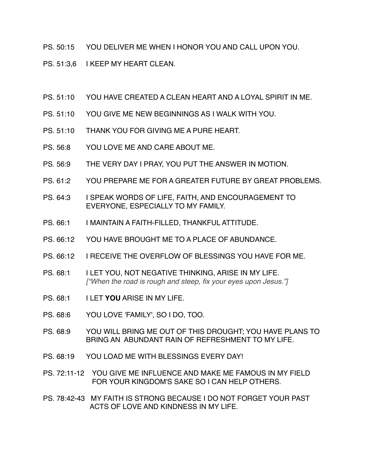PS. 50:15 YOU DELIVER ME WHEN I HONOR YOU AND CALL UPON YOU.

PS. 51:3.6 I KEEP MY HEART CLEAN.

- PS. 51:10 YOU HAVE CREATED A CLEAN HEART AND A LOYAL SPIRIT IN ME.
- PS. 51:10 YOU GIVE ME NEW BEGINNINGS AS I WALK WITH YOU.
- PS. 51:10 THANK YOU FOR GIVING ME A PURE HEART.
- PS. 56:8 YOU LOVE ME AND CARE ABOUT ME.
- PS. 56:9 THE VERY DAY I PRAY, YOU PUT THE ANSWER IN MOTION.
- PS. 61:2 YOU PREPARE ME FOR A GREATER FUTURE BY GREAT PROBLEMS.
- PS. 64:3 I SPEAK WORDS OF LIFE, FAITH, AND ENCOURAGEMENT TO EVERYONE, ESPECIALLY TO MY FAMILY.
- PS. 66:1 I MAINTAIN A FAITH-FILLED, THANKFUL ATTITUDE.
- PS. 66:12 YOU HAVE BROUGHT ME TO A PLACE OF ABUNDANCE.
- PS. 66:12 I RECEIVE THE OVERFLOW OF BLESSINGS YOU HAVE FOR ME.
- PS. 68:1 I LET YOU, NOT NEGATIVE THINKING, ARISE IN MY LIFE. *["When the road is rough and steep, fix your eyes upon Jesus."]*
- PS. 68:1 I LET **YOU** ARISE IN MY LIFE.
- PS. 68:6 YOU LOVE 'FAMILY', SO I DO, TOO.
- PS. 68:9 YOU WILL BRING ME OUT OF THIS DROUGHT; YOU HAVE PLANS TO BRING AN ABUNDANT RAIN OF REFRESHMENT TO MY LIFE.
- PS. 68:19 YOU LOAD ME WITH BLESSINGS EVERY DAY!
- PS. 72:11-12 YOU GIVE ME INFLUENCE AND MAKE ME FAMOUS IN MY FIELD FOR YOUR KINGDOM'S SAKE SO I CAN HELP OTHERS.
- PS. 78:42-43 MY FAITH IS STRONG BECAUSE I DO NOT FORGET YOUR PAST ACTS OF LOVE AND KINDNESS IN MY LIFE.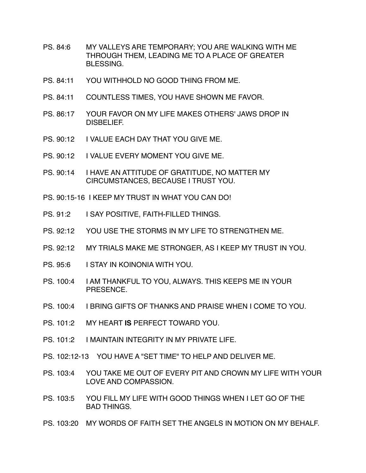- PS. 84:6 MY VALLEYS ARE TEMPORARY; YOU ARE WALKING WITH ME THROUGH THEM, LEADING ME TO A PLACE OF GREATER **BLESSING**
- PS. 84:11 YOU WITHHOLD NO GOOD THING FROM ME.
- PS. 84:11 COUNTLESS TIMES, YOU HAVE SHOWN ME FAVOR.
- PS. 86:17 YOUR FAVOR ON MY LIFE MAKES OTHERS' JAWS DROP IN DISBELIEF.
- PS. 90:12 I VALUE FACH DAY THAT YOU GIVE ME.
- PS. 90:12 I VALUE EVERY MOMENT YOU GIVE ME.
- PS. 90:14 I HAVE AN ATTITUDE OF GRATITUDE, NO MATTER MY CIRCUMSTANCES, BECAUSE I TRUST YOU.

PS. 90:15-16 I KEEP MY TRUST IN WHAT YOU CAN DO!

- PS. 91:2 I SAY POSITIVE, FAITH-FILLED THINGS.
- PS. 92:12 YOU USE THE STORMS IN MY LIFE TO STRENGTHEN ME.
- PS. 92:12 MY TRIALS MAKE ME STRONGER, AS I KEEP MY TRUST IN YOU.
- PS. 95:6 I STAY IN KOINONIA WITH YOU.
- PS. 100:4 I AM THANKFUL TO YOU, ALWAYS. THIS KEEPS ME IN YOUR PRESENCE.
- PS. 100:4 I BRING GIFTS OF THANKS AND PRAISE WHEN I COME TO YOU.
- PS. 101:2 MY HEART **IS** PERFECT TOWARD YOU.
- PS. 101:2 I MAINTAIN INTEGRITY IN MY PRIVATE LIFE.
- PS. 102:12-13 YOU HAVE A "SET TIME" TO HELP AND DELIVER ME.
- PS. 103:4 YOU TAKE ME OUT OF EVERY PIT AND CROWN MY LIFE WITH YOUR LOVE AND COMPASSION.
- PS. 103:5 YOU FILL MY LIFE WITH GOOD THINGS WHEN I LET GO OF THE BAD THINGS.
- PS. 103:20 MY WORDS OF FAITH SET THE ANGELS IN MOTION ON MY BEHALF.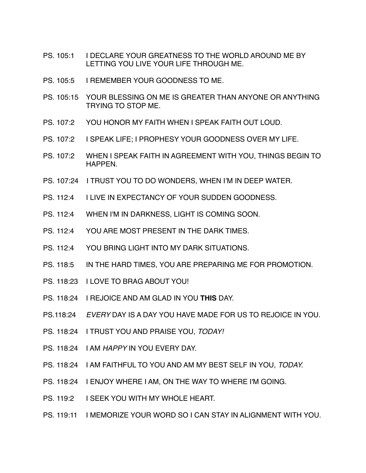- PS. 105:1 I DECLARE YOUR GREATNESS TO THE WORLD AROUND ME BY LETTING YOU LIVE YOUR LIFE THROUGH ME.
- PS. 105:5 I REMEMBER YOUR GOODNESS TO ME.
- PS. 105:15 YOUR BLESSING ON ME IS GREATER THAN ANYONE OR ANYTHING TRYING TO STOP ME.
- PS. 107:2 YOU HONOR MY FAITH WHEN I SPEAK FAITH OUT LOUD.
- PS. 107:2 I SPEAK LIFE; I PROPHESY YOUR GOODNESS OVER MY LIFE.
- PS. 107:2 WHEN I SPEAK FAITH IN AGREEMENT WITH YOU, THINGS BEGIN TO HAPPEN.
- PS. 107:24 I TRUST YOU TO DO WONDERS, WHEN I'M IN DEEP WATER.
- PS. 112:4 I LIVE IN EXPECTANCY OF YOUR SUDDEN GOODNESS.
- PS. 112:4 WHEN I'M IN DARKNESS, LIGHT IS COMING SOON.
- PS. 112:4 YOU ARE MOST PRESENT IN THE DARK TIMES.
- PS. 112:4 YOU BRING LIGHT INTO MY DARK SITUATIONS.
- PS. 118:5 IN THE HARD TIMES, YOU ARE PREPARING ME FOR PROMOTION.
- PS. 118:23 I LOVE TO BRAG ABOUT YOU!
- PS. 118:24 I REJOICE AND AM GLAD IN YOU **THIS** DAY.
- PS.118:24 *EVERY* DAY IS A DAY YOU HAVE MADE FOR US TO REJOICE IN YOU.
- PS. 118:24 I TRUST YOU AND PRAISE YOU, *TODAY!*
- PS. 118:24 I AM *HAPPY* IN YOU EVERY DAY.
- PS. 118:24 I AM FAITHFUL TO YOU AND AM MY BEST SELF IN YOU, *TODAY.*
- PS. 118:24 I ENJOY WHERE I AM, ON THE WAY TO WHERE I'M GOING.
- PS. 119:2 I SEEK YOU WITH MY WHOLE HEART.
- PS. 119:11 I MEMORIZE YOUR WORD SO I CAN STAY IN ALIGNMENT WITH YOU.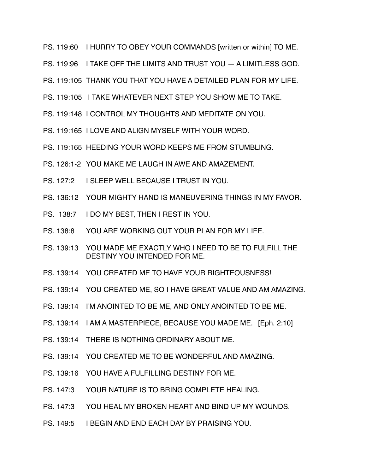- PS. 119:60 I HURRY TO OBEY YOUR COMMANDS [written or within] TO ME.
- PS. 119:96 I TAKE OFF THE LIMITS AND TRUST YOU A LIMITLESS GOD.
- PS. 119:105 THANK YOU THAT YOU HAVE A DETAILED PLAN FOR MY LIFE.
- PS. 119:105 I TAKE WHATEVER NEXT STEP YOU SHOW ME TO TAKE.
- PS. 119:148 I CONTROL MY THOUGHTS AND MEDITATE ON YOU.
- PS. 119:165 I LOVE AND ALIGN MYSELF WITH YOUR WORD.
- PS. 119:165 HEEDING YOUR WORD KEEPS ME FROM STUMBLING.
- PS. 126:1-2 YOU MAKE ME LAUGH IN AWE AND AMAZEMENT.
- PS. 127:2 I SLEEP WELL BECAUSE I TRUST IN YOU.
- PS. 136:12 YOUR MIGHTY HAND IS MANEUVERING THINGS IN MY FAVOR.
- PS. 138:7 I DO MY BEST, THEN I REST IN YOU.
- PS. 138:8 YOU ARE WORKING OUT YOUR PLAN FOR MY LIFE.
- PS. 139:13 YOU MADE ME EXACTLY WHO I NEED TO BE TO FULFILL THE DESTINY YOU INTENDED FOR ME.
- PS. 139:14 YOU CREATED ME TO HAVE YOUR RIGHTEOUSNESS!
- PS. 139:14 YOU CREATED ME, SO I HAVE GREAT VALUE AND AM AMAZING.
- PS. 139:14 I'M ANOINTED TO BE ME, AND ONLY ANOINTED TO BE ME.
- PS. 139:14 I AM A MASTERPIECE, BECAUSE YOU MADE ME. [Eph. 2:10]
- PS. 139:14 THERE IS NOTHING ORDINARY ABOUT ME.
- PS. 139:14 YOU CREATED ME TO BE WONDERFUL AND AMAZING.
- PS. 139:16 YOU HAVE A FULFILLING DESTINY FOR ME.
- PS. 147:3 YOUR NATURE IS TO BRING COMPLETE HEALING.
- PS. 147:3 YOU HEAL MY BROKEN HEART AND BIND UP MY WOUNDS.
- PS. 149:5 I BEGIN AND END EACH DAY BY PRAISING YOU.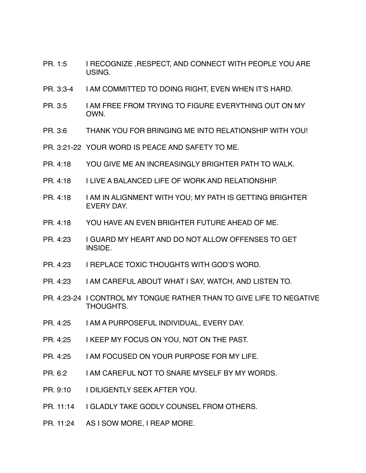- PR. 1:5 I RECOGNIZE, RESPECT, AND CONNECT WITH PEOPLE YOU ARE USING.
- PR. 3:3-4 I AM COMMITTED TO DOING RIGHT, EVEN WHEN IT'S HARD.
- PR. 3:5 I AM FREE FROM TRYING TO FIGURE EVERYTHING OUT ON MY OWN.
- PR. 3:6 THANK YOU FOR BRINGING ME INTO RELATIONSHIP WITH YOU!
- PR. 3:21-22 YOUR WORD IS PEACE AND SAFETY TO ME.
- PR. 4:18 YOU GIVE ME AN INCREASINGLY BRIGHTER PATH TO WALK.
- PR. 4:18 I LIVE A BALANCED LIFE OF WORK AND RELATIONSHIP.
- PR. 4:18 I AM IN ALIGNMENT WITH YOU; MY PATH IS GETTING BRIGHTER EVERY DAY.
- PR. 4:18 YOU HAVE AN EVEN BRIGHTER FUTURE AHEAD OF ME.
- PR. 4:23 I GUARD MY HEART AND DO NOT ALLOW OFFENSES TO GET INSIDE.
- PR. 4:23 I REPLACE TOXIC THOUGHTS WITH GOD'S WORD.
- PR. 4:23 I AM CAREFUL ABOUT WHAT I SAY, WATCH, AND LISTEN TO.
- PR. 4:23-24 I CONTROL MY TONGUE RATHER THAN TO GIVE LIFE TO NEGATIVE THOUGHTS.
- PR. 4:25 I AM A PURPOSEFUL INDIVIDUAL, EVERY DAY.
- PR. 4:25 I KEEP MY FOCUS ON YOU, NOT ON THE PAST.
- PR. 4:25 I AM FOCUSED ON YOUR PURPOSE FOR MY LIFE.
- PR. 6:2 I AM CAREFUL NOT TO SNARE MYSELF BY MY WORDS.
- PR. 9:10 I DILIGENTLY SEEK AFTER YOU.
- PR. 11:14 I GLADLY TAKE GODLY COUNSEL FROM OTHERS.
- PR. 11:24 AS I SOW MORE, I REAP MORE.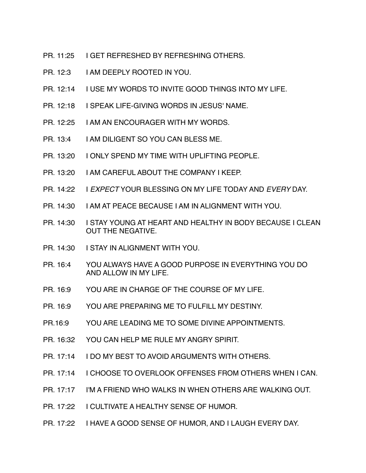- PR. 11:25 I GET REFRESHED BY REFRESHING OTHERS.
- PR. 12:3 I AM DEEPLY ROOTED IN YOU.
- PR. 12:14 I USE MY WORDS TO INVITE GOOD THINGS INTO MY LIFE.
- PR. 12:18 I SPEAK LIFE-GIVING WORDS IN JESUS' NAME.
- PR. 12:25 I AM AN ENCOURAGER WITH MY WORDS.
- PR. 13:4 I AM DILIGENT SO YOU CAN BLESS ME.
- PR. 13:20 I ONLY SPEND MY TIME WITH UPLIFTING PEOPLE.
- PR. 13:20 I AM CAREFUL ABOUT THE COMPANY I KEEP.
- PR. 14:22 I *EXPECT* YOUR BLESSING ON MY LIFE TODAY AND *EVERY* DAY.
- PR. 14:30 I AM AT PEACE BECAUSE I AM IN ALIGNMENT WITH YOU.
- PR. 14:30 I STAY YOUNG AT HEART AND HEALTHY IN BODY BECAUSE I CLEAN OUT THE NEGATIVE.
- PR. 14:30 I STAY IN ALIGNMENT WITH YOU.
- PR. 16:4 YOU ALWAYS HAVE A GOOD PURPOSE IN EVERYTHING YOU DO AND ALLOW IN MY LIFE.
- PR. 16:9 YOU ARE IN CHARGE OF THE COURSE OF MY LIFE.
- PR. 16:9 YOU ARE PREPARING ME TO FULFILL MY DESTINY.
- PR.16:9 YOU ARE LEADING ME TO SOME DIVINE APPOINTMENTS.
- PR. 16:32 YOU CAN HELP ME RULE MY ANGRY SPIRIT.
- PR. 17:14 I DO MY BEST TO AVOID ARGUMENTS WITH OTHERS.
- PR. 17:14 I CHOOSE TO OVERLOOK OFFENSES FROM OTHERS WHEN I CAN.
- PR. 17:17 I'M A FRIEND WHO WALKS IN WHEN OTHERS ARE WALKING OUT.
- PR. 17:22 I CULTIVATE A HEALTHY SENSE OF HUMOR.
- PR. 17:22 I HAVE A GOOD SENSE OF HUMOR, AND I LAUGH EVERY DAY.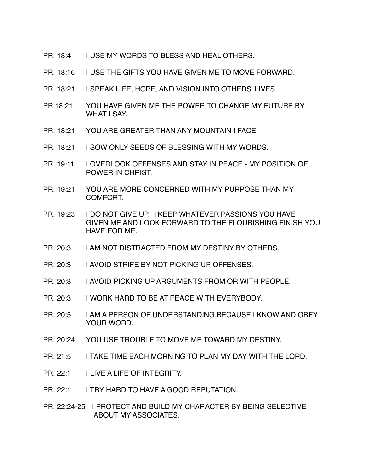- PR. 18:4 I USE MY WORDS TO BLESS AND HEAL OTHERS.
- PR. 18:16 I USE THE GIFTS YOU HAVE GIVEN ME TO MOVE FORWARD.
- PR. 18:21 I SPEAK LIFE, HOPE, AND VISION INTO OTHERS' LIVES.
- PR.18:21 YOU HAVE GIVEN ME THE POWER TO CHANGE MY FUTURE BY WHAT I SAY.
- PR. 18:21 YOU ARE GREATER THAN ANY MOUNTAIN I FACE.
- PR. 18:21 I SOW ONLY SEEDS OF BLESSING WITH MY WORDS.
- PR. 19:11 I OVERLOOK OFFENSES AND STAY IN PEACE MY POSITION OF POWER IN CHRIST.
- PR. 19:21 YOU ARE MORE CONCERNED WITH MY PURPOSE THAN MY COMFORT.
- PR. 19:23 I DO NOT GIVE UP. I KEEP WHATEVER PASSIONS YOU HAVE GIVEN ME AND LOOK FORWARD TO THE FLOURISHING FINISH YOU HAVE FOR ME.
- PR. 20:3 I AM NOT DISTRACTED FROM MY DESTINY BY OTHERS.
- PR. 20:3 I AVOID STRIFE BY NOT PICKING UP OFFENSES.
- PR. 20:3 I AVOID PICKING UP ARGUMENTS FROM OR WITH PEOPLE.
- PR. 20:3 I WORK HARD TO BE AT PEACE WITH EVERYBODY.
- PR. 20:5 I AM A PERSON OF UNDERSTANDING BECAUSE I KNOW AND OBEY YOUR WORD.
- PR. 20:24 YOU USE TROUBLE TO MOVE ME TOWARD MY DESTINY.
- PR. 21:5 I TAKE TIME EACH MORNING TO PLAN MY DAY WITH THE LORD.
- PR. 22:1 I LIVE A LIFE OF INTEGRITY.
- PR. 22:1 I TRY HARD TO HAVE A GOOD REPUTATION.
- PR. 22:24-25 I PROTECT AND BUILD MY CHARACTER BY BEING SELECTIVE ABOUT MY ASSOCIATES.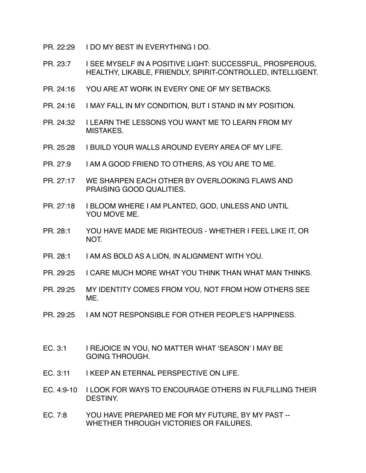- PR. 22:29 I DO MY BEST IN EVERYTHING I DO.
- PR. 23:7 I SEE MYSELF IN A POSITIVE LIGHT: SUCCESSFUL, PROSPEROUS, HEALTHY, LIKABLE, FRIENDLY, SPIRIT-CONTROLLED, INTELLIGENT.
- PR. 24:16 YOU ARE AT WORK IN EVERY ONE OF MY SETBACKS.
- PR. 24:16 I MAY FALL IN MY CONDITION, BUT I STAND IN MY POSITION.
- PR. 24:32 I LEARN THE LESSONS YOU WANT ME TO LEARN FROM MY MISTAKES.
- PR. 25:28 I BUILD YOUR WALLS AROUND EVERY AREA OF MY LIFE.
- PR. 27:9 I AM A GOOD FRIEND TO OTHERS, AS YOU ARE TO ME.
- PR. 27:17 WE SHARPEN EACH OTHER BY OVERLOOKING FLAWS AND PRAISING GOOD QUALITIES.
- PR. 27:18 I BLOOM WHERE I AM PLANTED, GOD, UNLESS AND UNTIL YOU MOVE ME.
- PR. 28:1 YOU HAVE MADE ME RIGHTEOUS WHETHER I FEEL LIKE IT, OR NOT.
- PR. 28:1 I AM AS BOLD AS A LION, IN ALIGNMENT WITH YOU.
- PR. 29:25 I CARE MUCH MORE WHAT YOU THINK THAN WHAT MAN THINKS.
- PR. 29:25 MY IDENTITY COMES FROM YOU, NOT FROM HOW OTHERS SEE ME.
- PR. 29:25 I AM NOT RESPONSIBLE FOR OTHER PEOPLE'S HAPPINESS.
- EC. 3:1 I REJOICE IN YOU, NO MATTER WHAT 'SEASON' I MAY BE GOING THROUGH.
- EC. 3:11 I KEEP AN ETERNAL PERSPECTIVE ON LIFE.
- EC. 4:9-10 I LOOK FOR WAYS TO ENCOURAGE OTHERS IN FULFILLING THEIR DESTINY.
- EC. 7:8 YOU HAVE PREPARED ME FOR MY FUTURE, BY MY PAST -- WHETHER THROUGH VICTORIES OR FAILURES.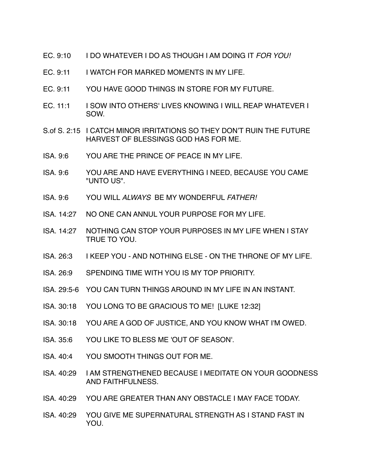- EC. 9:10 I DO WHATEVER I DO AS THOUGH I AM DOING IT *FOR YOU!*
- EC. 9:11 I WATCH FOR MARKED MOMENTS IN MY LIFE.
- EC. 9:11 YOU HAVE GOOD THINGS IN STORE FOR MY FUTURE.
- EC. 11:1 I SOW INTO OTHERS' LIVES KNOWING I WILL REAP WHATEVER I SOW.
- S.of S. 2:15 I CATCH MINOR IRRITATIONS SO THEY DON'T RUIN THE FUTURE HARVEST OF BLESSINGS GOD HAS FOR ME.
- ISA. 9:6 YOU ARE THE PRINCE OF PEACE IN MY LIFE.
- ISA. 9:6 YOU ARE AND HAVE EVERYTHING I NEED, BECAUSE YOU CAME "UNTO US".
- ISA. 9:6 YOU WILL *ALWAYS* BE MY WONDERFUL *FATHER!*
- ISA. 14:27 NO ONE CAN ANNUL YOUR PURPOSE FOR MY LIFE.
- ISA. 14:27 NOTHING CAN STOP YOUR PURPOSES IN MY LIFE WHEN I STAY TRUE TO YOU.
- ISA. 26:3 I KEEP YOU AND NOTHING ELSE ON THE THRONE OF MY LIFE.
- ISA. 26:9 SPENDING TIME WITH YOU IS MY TOP PRIORITY.
- ISA. 29:5-6 YOU CAN TURN THINGS AROUND IN MY LIFE IN AN INSTANT.
- ISA. 30:18 YOU LONG TO BE GRACIOUS TO ME! [LUKE 12:32]
- ISA. 30:18 YOU ARE A GOD OF JUSTICE, AND YOU KNOW WHAT I'M OWED.
- ISA. 35:6 YOU LIKE TO BLESS ME 'OUT OF SEASON'.
- ISA. 40:4 YOU SMOOTH THINGS OUT FOR ME.
- ISA. 40:29 I AM STRENGTHENED BECAUSE I MEDITATE ON YOUR GOODNESS AND FAITHFULNESS.
- ISA. 40:29 YOU ARE GREATER THAN ANY OBSTACLE I MAY FACE TODAY.
- ISA. 40:29 YOU GIVE ME SUPERNATURAL STRENGTH AS I STAND FAST IN YOU.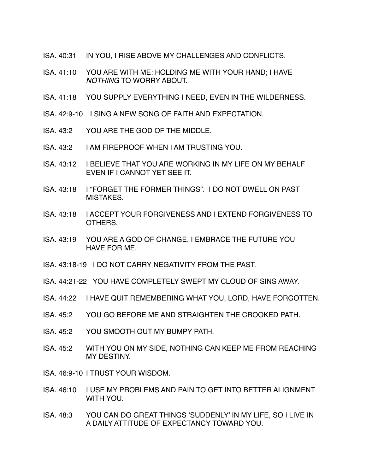- ISA. 40:31 IN YOU, I RISE ABOVE MY CHALLENGES AND CONFLICTS.
- ISA. 41:10 YOU ARE WITH ME: HOLDING ME WITH YOUR HAND; I HAVE *NOTHING* TO WORRY ABOUT.
- ISA. 41:18 YOU SUPPLY EVERYTHING I NEED, EVEN IN THE WILDERNESS.
- ISA. 42:9-10 I SING A NEW SONG OF FAITH AND EXPECTATION.
- ISA. 43:2 YOU ARE THE GOD OF THE MIDDLE.
- ISA. 43:2 I AM FIREPROOF WHEN I AM TRUSTING YOU.
- ISA. 43:12 I BELIEVE THAT YOU ARE WORKING IN MY LIFE ON MY BEHALF EVEN IF I CANNOT YET SEE IT.
- ISA. 43:18 I "FORGET THE FORMER THINGS". I DO NOT DWELL ON PAST MISTAKES.
- ISA. 43:18 I ACCEPT YOUR FORGIVENESS AND I EXTEND FORGIVENESS TO OTHERS.
- ISA. 43:19 YOU ARE A GOD OF CHANGE. I EMBRACE THE FUTURE YOU HAVE FOR ME.
- ISA. 43:18-19 I DO NOT CARRY NEGATIVITY FROM THE PAST.
- ISA. 44:21-22 YOU HAVE COMPLETELY SWEPT MY CLOUD OF SINS AWAY.
- ISA. 44:22 I HAVE QUIT REMEMBERING WHAT YOU, LORD, HAVE FORGOTTEN.
- ISA. 45:2 YOU GO BEFORE ME AND STRAIGHTEN THE CROOKED PATH.
- ISA. 45:2 YOU SMOOTH OUT MY BUMPY PATH.
- ISA. 45:2 WITH YOU ON MY SIDE, NOTHING CAN KEEP ME FROM REACHING MY DESTINY.
- ISA. 46:9-10 I TRUST YOUR WISDOM.
- ISA. 46:10 I USE MY PROBLEMS AND PAIN TO GET INTO BETTER ALIGNMENT WITH YOU.
- ISA. 48:3 YOU CAN DO GREAT THINGS 'SUDDENLY' IN MY LIFE, SO I LIVE IN A DAILY ATTITUDE OF EXPECTANCY TOWARD YOU.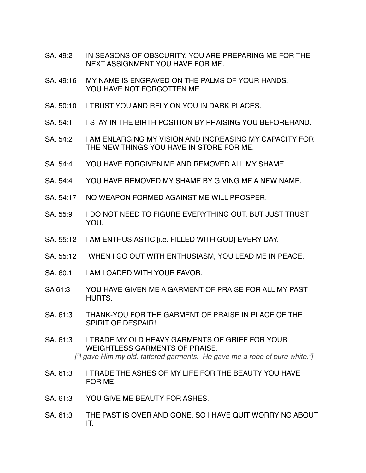- ISA. 49:2 IN SEASONS OF OBSCURITY, YOU ARE PREPARING ME FOR THE NEXT ASSIGNMENT YOU HAVE FOR ME.
- ISA. 49:16 MY NAME IS ENGRAVED ON THE PALMS OF YOUR HANDS. YOU HAVE NOT FORGOTTEN ME.
- ISA. 50:10 I TRUST YOU AND RELY ON YOU IN DARK PLACES.
- ISA. 54:1 I STAY IN THE BIRTH POSITION BY PRAISING YOU BEFOREHAND.
- ISA. 54:2 I AM ENLARGING MY VISION AND INCREASING MY CAPACITY FOR THE NEW THINGS YOU HAVE IN STORE FOR ME.
- ISA. 54:4 YOU HAVE FORGIVEN ME AND REMOVED ALL MY SHAME.
- ISA. 54:4 YOU HAVE REMOVED MY SHAME BY GIVING ME A NEW NAME.
- ISA. 54:17 NO WEAPON FORMED AGAINST ME WILL PROSPER.
- ISA. 55:9 I DO NOT NEED TO FIGURE EVERYTHING OUT, BUT JUST TRUST YOU.
- ISA. 55:12 I AM ENTHUSIASTIC [i.e. FILLED WITH GOD] EVERY DAY.
- ISA. 55:12 WHEN I GO OUT WITH ENTHUSIASM, YOU LEAD ME IN PEACE.
- ISA. 60:1 I AM LOADED WITH YOUR FAVOR.
- ISA 61:3 YOU HAVE GIVEN ME A GARMENT OF PRAISE FOR ALL MY PAST HURTS.
- ISA. 61:3 THANK-YOU FOR THE GARMENT OF PRAISE IN PLACE OF THE SPIRIT OF DESPAIR!
- ISA. 61:3 I TRADE MY OLD HEAVY GARMENTS OF GRIEF FOR YOUR WEIGHTLESS GARMENTS OF PRAISE. *["I gave Him my old, tattered garments. He gave me a robe of pure white."]*
- ISA. 61:3 I TRADE THE ASHES OF MY LIFE FOR THE BEAUTY YOU HAVE FOR ME.
- ISA. 61:3 YOU GIVE ME BEAUTY FOR ASHES.
- ISA. 61:3 THE PAST IS OVER AND GONE, SO I HAVE QUIT WORRYING ABOUT IT.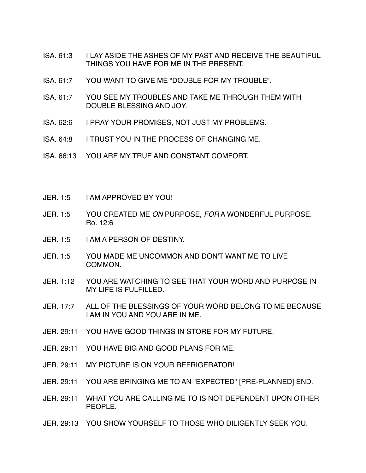- ISA. 61:3 I LAY ASIDE THE ASHES OF MY PAST AND RECEIVE THE BEAUTIFUL THINGS YOU HAVE FOR ME IN THE PRESENT.
- ISA. 61:7 YOU WANT TO GIVE ME "DOUBLE FOR MY TROUBLE".
- ISA. 61:7 YOU SEE MY TROUBLES AND TAKE ME THROUGH THEM WITH DOUBLE BLESSING AND JOY.
- ISA. 62:6 I PRAY YOUR PROMISES, NOT JUST MY PROBLEMS.
- ISA. 64:8 I TRUST YOU IN THE PROCESS OF CHANGING ME.
- ISA. 66:13 YOU ARE MY TRUE AND CONSTANT COMFORT.
- JER. 1:5 I AM APPROVED BY YOU!
- JER. 1:5 YOU CREATED ME *ON* PURPOSE, *FOR* A WONDERFUL PURPOSE. Ro. 12:6
- JER. 1:5 I AM A PERSON OF DESTINY.
- JER. 1:5 YOU MADE ME UNCOMMON AND DON'T WANT ME TO LIVE COMMON.
- JER. 1:12 YOU ARE WATCHING TO SEE THAT YOUR WORD AND PURPOSE IN MY LIFE IS FULFILLED.
- JER. 17:7 ALL OF THE BLESSINGS OF YOUR WORD BELONG TO ME BECAUSE I AM IN YOU AND YOU ARE IN ME.
- JER. 29:11 YOU HAVE GOOD THINGS IN STORE FOR MY FUTURE.
- JER. 29:11 YOU HAVE BIG AND GOOD PLANS FOR ME.
- JER. 29:11 MY PICTURE IS ON YOUR REFRIGERATOR!
- JER. 29:11 YOU ARE BRINGING ME TO AN "EXPECTED" [PRE-PLANNED] END.
- JER. 29:11 WHAT YOU ARE CALLING ME TO IS NOT DEPENDENT UPON OTHER PEOPLE.
- JER. 29:13 YOU SHOW YOURSELF TO THOSE WHO DILIGENTLY SEEK YOU.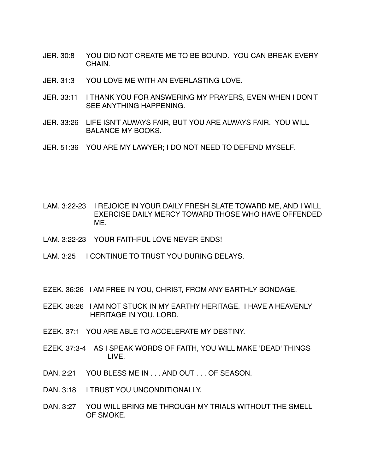- JER. 30:8 YOU DID NOT CREATE ME TO BE BOUND. YOU CAN BREAK EVERY **CHAIN**
- JER. 31:3 YOU LOVE ME WITH AN EVERLASTING LOVE.
- JER. 33:11 I THANK YOU FOR ANSWERING MY PRAYERS, EVEN WHEN I DON'T SEE ANYTHING HAPPENING.
- JER. 33:26 LIFE ISN'T ALWAYS FAIR, BUT YOU ARE ALWAYS FAIR. YOU WILL BALANCE MY BOOKS.
- JER. 51:36 YOU ARE MY LAWYER; I DO NOT NEED TO DEFEND MYSELF.

- LAM. 3:22-23 I REJOICE IN YOUR DAILY FRESH SLATE TOWARD ME, AND I WILL EXERCISE DAILY MERCY TOWARD THOSE WHO HAVE OFFENDED ME.
- LAM. 3:22-23 YOUR FAITHFUL LOVE NEVER ENDS!
- LAM. 3:25 I CONTINUE TO TRUST YOU DURING DELAYS.
- EZEK. 36:26 I AM FREE IN YOU, CHRIST, FROM ANY EARTHLY BONDAGE.
- EZEK. 36:26 I AM NOT STUCK IN MY EARTHY HERITAGE. I HAVE A HEAVENLY HERITAGE IN YOU, LORD.
- EZEK. 37:1 YOU ARE ABLE TO ACCELERATE MY DESTINY.
- EZEK. 37:3-4 AS I SPEAK WORDS OF FAITH, YOU WILL MAKE 'DEAD' THINGS LIVE.
- DAN. 2:21 YOU BLESS ME IN . . . AND OUT . . . OF SEASON.
- DAN. 3:18 I TRUST YOU UNCONDITIONALLY.
- DAN. 3:27 YOU WILL BRING ME THROUGH MY TRIALS WITHOUT THE SMELL OF SMOKE.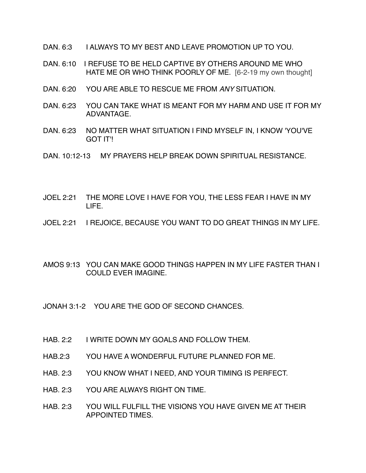- DAN. 6:3 I ALWAYS TO MY BEST AND LEAVE PROMOTION UP TO YOU.
- DAN. 6:10 I REFUSE TO BE HELD CAPTIVE BY OTHERS AROUND ME WHO HATE ME OR WHO THINK POORLY OF ME. [6-2-19 my own thought]
- DAN. 6:20 YOU ARE ABLE TO RESCUE ME FROM *ANY* SITUATION.
- DAN. 6:23 YOU CAN TAKE WHAT IS MEANT FOR MY HARM AND USE IT FOR MY ADVANTAGE.
- DAN. 6:23 NO MATTER WHAT SITUATION I FIND MYSELF IN, I KNOW 'YOU'VE GOT IT'!
- DAN. 10:12-13 MY PRAYERS HELP BREAK DOWN SPIRITUAL RESISTANCE.
- JOEL 2:21 THE MORE LOVE I HAVE FOR YOU, THE LESS FEAR I HAVE IN MY LIFE.
- JOEL 2:21 I REJOICE, BECAUSE YOU WANT TO DO GREAT THINGS IN MY LIFE.
- AMOS 9:13 YOU CAN MAKE GOOD THINGS HAPPEN IN MY LIFE FASTER THAN I COULD EVER IMAGINE.
- JONAH 3:1-2 YOU ARE THE GOD OF SECOND CHANCES.
- HAB. 2:2 I WRITE DOWN MY GOALS AND FOLLOW THEM.
- HAB.2:3 YOU HAVE A WONDERFUL FUTURE PLANNED FOR ME.
- HAB. 2:3 YOU KNOW WHAT I NEED, AND YOUR TIMING IS PERFECT.
- HAB. 2:3 YOU ARE ALWAYS RIGHT ON TIME.
- HAB. 2:3 YOU WILL FULFILL THE VISIONS YOU HAVE GIVEN ME AT THEIR APPOINTED TIMES.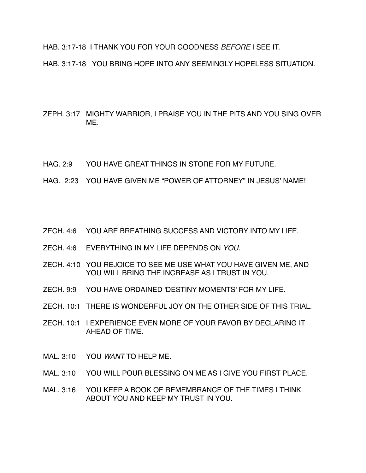HAB. 3:17-18 I THANK YOU FOR YOUR GOODNESS *BEFORE* I SEE IT.

HAB. 3:17-18 YOU BRING HOPE INTO ANY SEEMINGLY HOPELESS SITUATION.

ZEPH. 3:17 MIGHTY WARRIOR, I PRAISE YOU IN THE PITS AND YOU SING OVER ME.

- HAG. 2:9 YOU HAVE GREAT THINGS IN STORE FOR MY FUTURE.
- HAG. 2:23 YOU HAVE GIVEN ME "POWER OF ATTORNEY" IN JESUS' NAME!
- ZECH. 4:6 YOU ARE BREATHING SUCCESS AND VICTORY INTO MY LIFE.
- ZECH. 4:6 EVERYTHING IN MY LIFE DEPENDS ON *YOU.*
- ZECH. 4:10 YOU REJOICE TO SEE ME USE WHAT YOU HAVE GIVEN ME, AND YOU WILL BRING THE INCREASE AS I TRUST IN YOU.
- ZECH. 9:9 YOU HAVE ORDAINED 'DESTINY MOMENTS' FOR MY LIFE.
- ZECH. 10:1 THERE IS WONDERFUL JOY ON THE OTHER SIDE OF THIS TRIAL.
- ZECH. 10:1 I EXPERIENCE EVEN MORE OF YOUR FAVOR BY DECLARING IT AHEAD OF TIME.
- MAL. 3:10 YOU *WANT* TO HELP ME.
- MAL. 3:10 YOU WILL POUR BLESSING ON ME AS I GIVE YOU FIRST PLACE.
- MAL. 3:16 YOU KEEP A BOOK OF REMEMBRANCE OF THE TIMES I THINK ABOUT YOU AND KEEP MY TRUST IN YOU.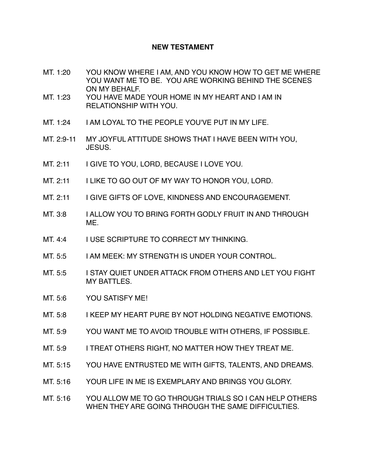### **NEW TESTAMENT**

- MT. 1:20 YOU KNOW WHERE I AM, AND YOU KNOW HOW TO GET ME WHERE YOU WANT ME TO BE. YOU ARE WORKING BEHIND THE SCENES ON MY BEHALF.
- MT. 1:23 YOU HAVE MADE YOUR HOME IN MY HEART AND I AM IN RELATIONSHIP WITH YOU.
- MT. 1:24 I AM LOYAL TO THE PEOPLE YOU'VE PUT IN MY LIFE.
- MT. 2:9-11 MY JOYFUL ATTITUDE SHOWS THAT I HAVE BEEN WITH YOU, JESUS.
- MT. 2:11 I GIVE TO YOU, LORD, BECAUSE I LOVE YOU.
- MT. 2:11 I LIKE TO GO OUT OF MY WAY TO HONOR YOU, LORD.
- MT. 2:11 I GIVE GIFTS OF LOVE, KINDNESS AND ENCOURAGEMENT.
- MT. 3:8 I ALLOW YOU TO BRING FORTH GODLY FRUIT IN AND THROUGH ME.
- MT. 4:4 I USE SCRIPTURE TO CORRECT MY THINKING.
- MT. 5:5 I AM MEEK: MY STRENGTH IS UNDER YOUR CONTROL.
- MT. 5:5 I STAY QUIET UNDER ATTACK FROM OTHERS AND LET YOU FIGHT MY BATTLES.
- MT. 5:6 YOU SATISFY ME!
- MT. 5:8 I KEEP MY HEART PURE BY NOT HOLDING NEGATIVE EMOTIONS.
- MT. 5:9 YOU WANT ME TO AVOID TROUBLE WITH OTHERS, IF POSSIBLE.
- MT. 5:9 I TREAT OTHERS RIGHT, NO MATTER HOW THEY TREAT ME.
- MT. 5:15 YOU HAVE ENTRUSTED ME WITH GIFTS, TALENTS, AND DREAMS.
- MT. 5:16 YOUR LIFE IN ME IS EXEMPLARY AND BRINGS YOU GLORY.
- MT. 5:16 YOU ALLOW ME TO GO THROUGH TRIALS SO I CAN HELP OTHERS WHEN THEY ARE GOING THROUGH THE SAME DIFFICULTIES.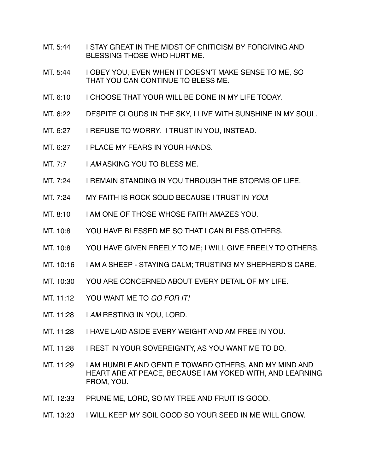- MT. 5:44 I STAY GREAT IN THE MIDST OF CRITICISM BY FORGIVING AND BLESSING THOSE WHO HURT ME.
- MT. 5:44 | OBEY YOU, EVEN WHEN IT DOESN'T MAKE SENSE TO ME, SO THAT YOU CAN CONTINUE TO BLESS ME.
- MT. 6:10 I CHOOSE THAT YOUR WILL BE DONE IN MY LIFE TODAY.
- MT. 6:22 DESPITE CLOUDS IN THE SKY, I LIVE WITH SUNSHINE IN MY SOUL.
- MT. 6:27 I REFUSE TO WORRY. I TRUST IN YOU, INSTEAD.
- MT. 6:27 I PLACE MY FEARS IN YOUR HANDS.
- MT. 7:7 I AM ASKING YOU TO BLESS ME.
- MT. 7:24 I REMAIN STANDING IN YOU THROUGH THE STORMS OF LIFE.
- MT. 7:24 MY FAITH IS ROCK SOLID BECAUSE I TRUST IN *YOU*!
- MT. 8:10 I AM ONE OF THOSE WHOSE FAITH AMAZES YOU.
- MT. 10:8 YOU HAVE BLESSED ME SO THAT I CAN BLESS OTHERS.
- MT. 10:8 YOU HAVE GIVEN FREELY TO ME; I WILL GIVE FREELY TO OTHERS.
- MT. 10:16 I AM A SHEEP STAYING CALM; TRUSTING MY SHEPHERD'S CARE.
- MT. 10:30 YOU ARE CONCERNED ABOUT EVERY DETAIL OF MY LIFE.
- MT. 11:12 YOU WANT ME TO *GO FOR IT!*
- MT. 11:28 I *AM* RESTING IN YOU, LORD.
- MT. 11:28 I HAVE LAID ASIDE EVERY WEIGHT AND AM FREE IN YOU.
- MT. 11:28 I REST IN YOUR SOVEREIGNTY, AS YOU WANT ME TO DO.
- MT. 11:29 I AM HUMBLE AND GENTLE TOWARD OTHERS, AND MY MIND AND HEART ARE AT PEACE, BECAUSE I AM YOKED WITH, AND LEARNING FROM, YOU.
- MT. 12:33 PRUNE ME, LORD, SO MY TREE AND FRUIT IS GOOD.
- MT. 13:23 I WILL KEEP MY SOIL GOOD SO YOUR SEED IN ME WILL GROW.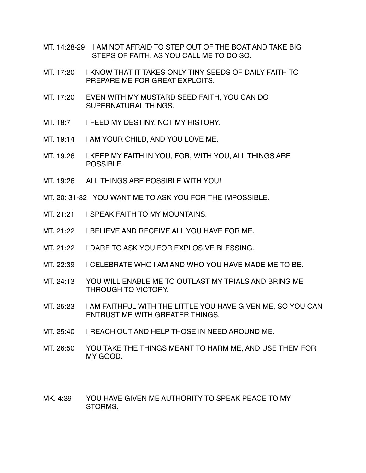- MT. 14:28-29 I AM NOT AFRAID TO STEP OUT OF THE BOAT AND TAKE BIG STEPS OF FAITH, AS YOU CALL ME TO DO SO.
- MT. 17:20 I KNOW THAT IT TAKES ONLY TINY SEEDS OF DAILY FAITH TO PREPARE ME FOR GREAT EXPLOITS.
- MT. 17:20 EVEN WITH MY MUSTARD SEED FAITH, YOU CAN DO SUPERNATURAL THINGS.
- MT. 18:7 I FEED MY DESTINY, NOT MY HISTORY.
- MT. 19:14 I AM YOUR CHILD, AND YOU LOVE ME.
- MT. 19:26 I KEEP MY FAITH IN YOU, FOR, WITH YOU, ALL THINGS ARE POSSIBLE.
- MT. 19:26 ALL THINGS ARE POSSIBLE WITH YOU!
- MT. 20: 31-32 YOU WANT ME TO ASK YOU FOR THE IMPOSSIBLE.
- MT. 21:21 I SPEAK FAITH TO MY MOUNTAINS.
- MT. 21:22 I BELIEVE AND RECEIVE ALL YOU HAVE FOR ME.
- MT. 21:22 I DARE TO ASK YOU FOR EXPLOSIVE BLESSING.
- MT. 22:39 I CELEBRATE WHO I AM AND WHO YOU HAVE MADE ME TO BE.
- MT. 24:13 YOU WILL ENABLE ME TO OUTLAST MY TRIALS AND BRING ME THROUGH TO VICTORY.
- MT. 25:23 I AM FAITHFUL WITH THE LITTLE YOU HAVE GIVEN ME, SO YOU CAN ENTRUST ME WITH GREATER THINGS.
- MT. 25:40 I REACH OUT AND HELP THOSE IN NEED AROUND ME.
- MT. 26:50 YOU TAKE THE THINGS MEANT TO HARM ME, AND USE THEM FOR MY GOOD.
- MK. 4:39 YOU HAVE GIVEN ME AUTHORITY TO SPEAK PEACE TO MY STORMS.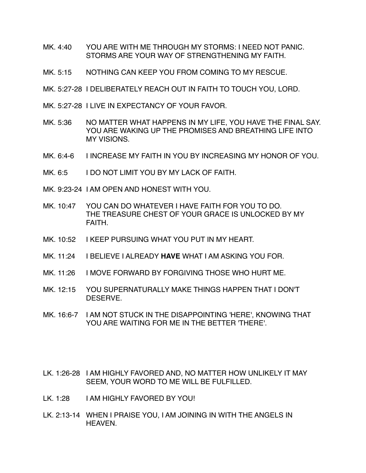- MK. 4:40 YOU ARE WITH ME THROUGH MY STORMS: I NEED NOT PANIC. STORMS ARE YOUR WAY OF STRENGTHENING MY FAITH.
- MK. 5:15 NOTHING CAN KEEP YOU FROM COMING TO MY RESCUE.
- MK. 5:27-28 I DELIBERATELY REACH OUT IN FAITH TO TOUCH YOU, LORD.
- MK. 5:27-28 I LIVE IN EXPECTANCY OF YOUR FAVOR.
- MK. 5:36 NO MATTER WHAT HAPPENS IN MY LIFE, YOU HAVE THE FINAL SAY. YOU ARE WAKING UP THE PROMISES AND BREATHING LIFE INTO MY VISIONS.
- MK. 6:4-6 I INCREASE MY FAITH IN YOU BY INCREASING MY HONOR OF YOU.
- MK, 6:5 I DO NOT LIMIT YOU BY MY LACK OF FAITH.
- MK. 9:23-24 I AM OPEN AND HONEST WITH YOU.
- MK. 10:47 YOU CAN DO WHATEVER I HAVE FAITH FOR YOU TO DO. THE TREASURE CHEST OF YOUR GRACE IS UNLOCKED BY MY FAITH.
- MK. 10:52 I KEEP PURSUING WHAT YOU PUT IN MY HEART.
- MK. 11:24 I BELIEVE I ALREADY **HAVE** WHAT I AM ASKING YOU FOR.
- MK. 11:26 I MOVE FORWARD BY FORGIVING THOSE WHO HURT ME.
- MK. 12:15 YOU SUPERNATURALLY MAKE THINGS HAPPEN THAT I DON'T DESERVE.
- MK. 16:6-7 I AM NOT STUCK IN THE DISAPPOINTING 'HERE', KNOWING THAT YOU ARE WAITING FOR ME IN THE BETTER 'THERE'.
- LK. 1:26-28 I AM HIGHLY FAVORED AND, NO MATTER HOW UNLIKELY IT MAY SEEM, YOUR WORD TO ME WILL BE FULFILLED.
- LK. 1:28 I AM HIGHLY FAVORED BY YOU!
- LK. 2:13-14 WHEN I PRAISE YOU, I AM JOINING IN WITH THE ANGELS IN HEAVEN.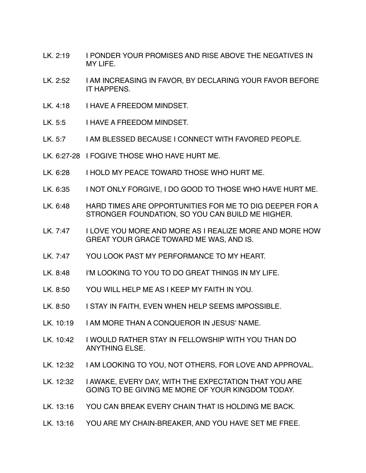- LK. 2:19 I PONDER YOUR PROMISES AND RISE ABOVE THE NEGATIVES IN MY LIFE.
- LK. 2:52 I AM INCREASING IN FAVOR, BY DECLARING YOUR FAVOR BEFORE IT HAPPENS.
- LK. 4:18 I HAVE A FREEDOM MINDSET.
- LK. 5:5 I HAVE A FREEDOM MINDSET.
- LK. 5:7 I AM BLESSED BECAUSE I CONNECT WITH FAVORED PEOPLE.
- LK. 6:27-28 I FOGIVE THOSE WHO HAVE HURT ME.
- LK, 6:28 I HOLD MY PEACE TOWARD THOSE WHO HURT ME.
- LK. 6:35 I NOT ONLY FORGIVE, I DO GOOD TO THOSE WHO HAVE HURT ME.
- LK. 6:48 HARD TIMES ARE OPPORTUNITIES FOR ME TO DIG DEEPER FOR A STRONGER FOUNDATION, SO YOU CAN BUILD ME HIGHER.
- LK. 7:47 I LOVE YOU MORE AND MORE AS I REALIZE MORE AND MORE HOW GREAT YOUR GRACE TOWARD ME WAS, AND IS.
- LK. 7:47 YOU LOOK PAST MY PERFORMANCE TO MY HEART.
- LK. 8:48 I'M LOOKING TO YOU TO DO GREAT THINGS IN MY LIFE.
- LK. 8:50 YOU WILL HELP ME AS I KEEP MY FAITH IN YOU.
- LK. 8:50 I STAY IN FAITH, EVEN WHEN HELP SEEMS IMPOSSIBLE.
- LK. 10:19 I AM MORE THAN A CONQUEROR IN JESUS' NAME.
- LK. 10:42 I WOULD RATHER STAY IN FELLOWSHIP WITH YOU THAN DO ANYTHING ELSE.
- LK. 12:32 | I AM LOOKING TO YOU, NOT OTHERS, FOR LOVE AND APPROVAL.
- LK. 12:32 | I AWAKE, EVERY DAY, WITH THE EXPECTATION THAT YOU ARE GOING TO BE GIVING ME MORE OF YOUR KINGDOM TODAY.
- LK. 13:16 YOU CAN BREAK EVERY CHAIN THAT IS HOLDING ME BACK.
- LK. 13:16 YOU ARE MY CHAIN-BREAKER, AND YOU HAVE SET ME FREE.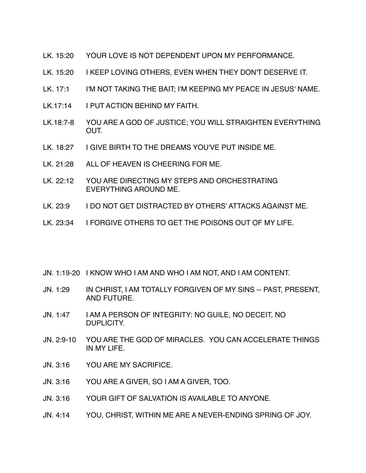- LK. 15:20 YOUR LOVE IS NOT DEPENDENT UPON MY PERFORMANCE.
- LK. 15:20 I KEEP LOVING OTHERS, EVEN WHEN THEY DON'T DESERVE IT.
- LK. 17:1 I'M NOT TAKING THE BAIT; I'M KEEPING MY PEACE IN JESUS' NAME.
- LK.17:14 I PUT ACTION BEHIND MY FAITH.
- LK.18:7-8 YOU ARE A GOD OF JUSTICE; YOU WILL STRAIGHTEN EVERYTHING OUT.
- LK. 18:27 I GIVE BIRTH TO THE DREAMS YOU'VE PUT INSIDE ME.
- LK. 21:28 ALL OF HEAVEN IS CHEERING FOR ME.
- LK. 22:12 YOU ARE DIRECTING MY STEPS AND ORCHESTRATING EVERYTHING AROUND ME.
- LK. 23:9 I DO NOT GET DISTRACTED BY OTHERS' ATTACKS AGAINST ME.
- LK. 23:34 I FORGIVE OTHERS TO GET THE POISONS OUT OF MY LIFE.
- JN. 1:19-20 I KNOW WHO I AM AND WHO I AM NOT, AND I AM CONTENT.
- JN. 1:29 IN CHRIST, I AM TOTALLY FORGIVEN OF MY SINS -- PAST, PRESENT, AND FUTURE.
- JN. 1:47 I AM A PERSON OF INTEGRITY: NO GUILE, NO DECEIT, NO DUPLICITY.
- JN. 2:9-10 YOU ARE THE GOD OF MIRACLES. YOU CAN ACCELERATE THINGS IN MY LIFE.
- JN. 3:16 YOU ARE MY SACRIFICE.
- JN. 3:16 YOU ARE A GIVER, SO I AM A GIVER, TOO.
- JN. 3:16 YOUR GIFT OF SALVATION IS AVAILABLE TO ANYONE.
- JN. 4:14 YOU, CHRIST, WITHIN ME ARE A NEVER-ENDING SPRING OF JOY.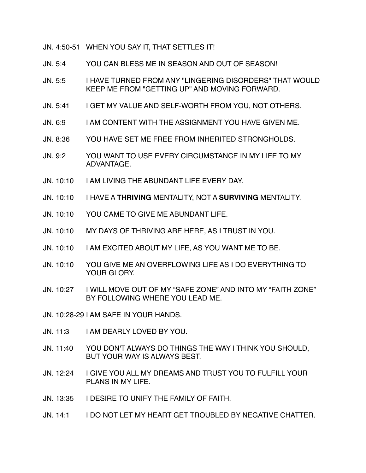JN. 4:50-51 WHEN YOU SAY IT, THAT SETTLES IT!

- JN. 5:4 YOU CAN BLESS ME IN SEASON AND OUT OF SEASON!
- JN. 5:5 I HAVE TURNED FROM ANY "LINGERING DISORDERS" THAT WOULD KEEP ME FROM "GETTING UP" AND MOVING FORWARD.
- JN. 5:41 I GET MY VALUE AND SELF-WORTH FROM YOU, NOT OTHERS.
- JN. 6:9 I AM CONTENT WITH THE ASSIGNMENT YOU HAVE GIVEN ME.
- JN. 8:36 YOU HAVE SET ME FREE FROM INHERITED STRONGHOLDS.
- JN. 9:2 YOU WANT TO USE EVERY CIRCUMSTANCE IN MY LIFE TO MY ADVANTAGE.
- JN. 10:10 I AM LIVING THE ABUNDANT LIFE EVERY DAY.
- JN. 10:10 I HAVE A **THRIVING** MENTALITY, NOT A **SURVIVING** MENTALITY.
- JN. 10:10 YOU CAME TO GIVE ME ABUNDANT LIFE.
- JN. 10:10 MY DAYS OF THRIVING ARE HERE, AS I TRUST IN YOU.
- JN. 10:10 I AM EXCITED ABOUT MY LIFE, AS YOU WANT ME TO BE.
- JN. 10:10 YOU GIVE ME AN OVERFLOWING LIFE AS I DO EVERYTHING TO YOUR GLORY.
- JN. 10:27 I WILL MOVE OUT OF MY "SAFE ZONE" AND INTO MY "FAITH ZONE" BY FOLLOWING WHERE YOU LEAD ME.
- JN. 10:28-29 I AM SAFE IN YOUR HANDS.
- JN. 11:3 I AM DEARLY LOVED BY YOU.
- JN. 11:40 YOU DON'T ALWAYS DO THINGS THE WAY I THINK YOU SHOULD, BUT YOUR WAY IS ALWAYS BEST.
- JN. 12:24 I GIVE YOU ALL MY DREAMS AND TRUST YOU TO FULFILL YOUR PLANS IN MY LIFE.
- JN. 13:35 I DESIRE TO UNIFY THE FAMILY OF FAITH.
- JN. 14:1 I DO NOT LET MY HEART GET TROUBLED BY NEGATIVE CHATTER.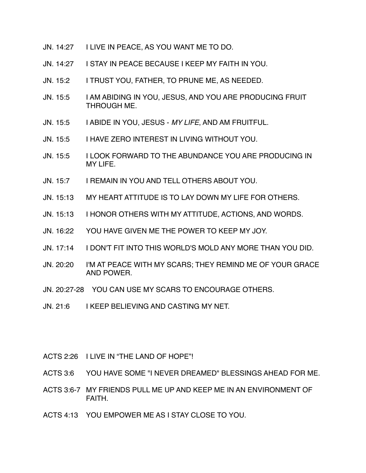- JN. 14:27 I LIVE IN PEACE, AS YOU WANT ME TO DO.
- JN. 14:27 I STAY IN PEACE BECAUSE I KEEP MY FAITH IN YOU.
- JN. 15:2 I TRUST YOU, FATHER, TO PRUNE ME, AS NEEDED.
- JN. 15:5 I AM ABIDING IN YOU, JESUS, AND YOU ARE PRODUCING FRUIT THROUGH ME.
- JN. 15:5 I ABIDE IN YOU, JESUS *MY LIFE*, AND AM FRUITFUL.
- JN. 15:5 I HAVE ZERO INTEREST IN LIVING WITHOUT YOU.
- JN. 15:5 I LOOK FORWARD TO THE ABUNDANCE YOU ARE PRODUCING IN MY LIFE.
- JN. 15:7 I REMAIN IN YOU AND TELL OTHERS ABOUT YOU.
- JN. 15:13 MY HEART ATTITUDE IS TO LAY DOWN MY LIFE FOR OTHERS.
- JN. 15:13 I HONOR OTHERS WITH MY ATTITUDE, ACTIONS, AND WORDS.
- JN. 16:22 YOU HAVE GIVEN ME THE POWER TO KEEP MY JOY.
- JN. 17:14 I DON'T FIT INTO THIS WORLD'S MOLD ANY MORE THAN YOU DID.
- JN. 20:20 I'M AT PEACE WITH MY SCARS; THEY REMIND ME OF YOUR GRACE AND POWER.
- JN. 20:27-28 YOU CAN USE MY SCARS TO ENCOURAGE OTHERS.
- JN. 21:6 I KEEP BELIEVING AND CASTING MY NET.
- ACTS 2:26 I LIVE IN "THE LAND OF HOPE"!
- ACTS 3:6 YOU HAVE SOME "I NEVER DREAMED" BLESSINGS AHEAD FOR ME.
- ACTS 3:6-7 MY FRIENDS PULL ME UP AND KEEP ME IN AN ENVIRONMENT OF FAITH.
- ACTS 4:13 YOU EMPOWER ME AS I STAY CLOSE TO YOU.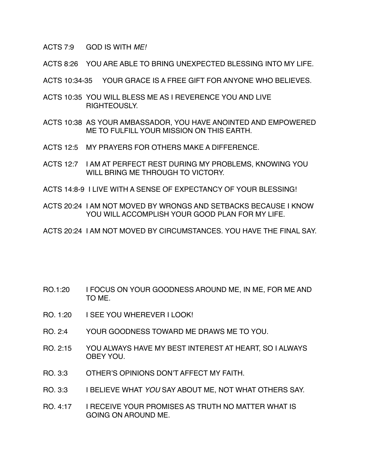ACTS 7:9 GOD IS WITH *ME!* 

ACTS 8:26 YOU ARE ABLE TO BRING UNEXPECTED BLESSING INTO MY LIFE.

ACTS 10:34-35 YOUR GRACE IS A FREE GIFT FOR ANYONE WHO BELIEVES.

- ACTS 10:35 YOU WILL BLESS ME AS I REVERENCE YOU AND LIVE RIGHTEOUSLY.
- ACTS 10:38 AS YOUR AMBASSADOR, YOU HAVE ANOINTED AND EMPOWERED ME TO FULFILL YOUR MISSION ON THIS EARTH.
- ACTS 12:5 MY PRAYERS FOR OTHERS MAKE A DIFFERENCE.
- ACTS 12:7 I AM AT PERFECT REST DURING MY PROBLEMS, KNOWING YOU WILL BRING ME THROUGH TO VICTORY.
- ACTS 14:8-9 I LIVE WITH A SENSE OF EXPECTANCY OF YOUR BLESSING!
- ACTS 20:24 I AM NOT MOVED BY WRONGS AND SETBACKS BECAUSE I KNOW YOU WILL ACCOMPLISH YOUR GOOD PLAN FOR MY LIFE.
- ACTS 20:24 I AM NOT MOVED BY CIRCUMSTANCES. YOU HAVE THE FINAL SAY.

- RO.1:20 I FOCUS ON YOUR GOODNESS AROUND ME, IN ME, FOR ME AND TO ME.
- RO. 1:20 I SEE YOU WHEREVER I LOOK!
- RO. 2:4 YOUR GOODNESS TOWARD ME DRAWS ME TO YOU.
- RO. 2:15 YOU ALWAYS HAVE MY BEST INTEREST AT HEART, SO I ALWAYS OBEY YOU.
- RO. 3:3 OTHER'S OPINIONS DON'T AFFECT MY FAITH.
- RO. 3:3 I BELIEVE WHAT *YOU* SAY ABOUT ME, NOT WHAT OTHERS SAY.
- RO. 4:17 I RECEIVE YOUR PROMISES AS TRUTH NO MATTER WHAT IS GOING ON AROUND ME.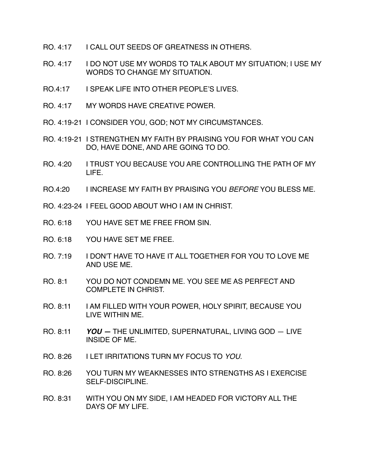- RO. 4:17 I CALL OUT SEEDS OF GREATNESS IN OTHERS.
- RO. 4:17 I DO NOT USE MY WORDS TO TALK ABOUT MY SITUATION; I USE MY WORDS TO CHANGE MY SITUATION.
- RO.4:17 I SPEAK LIFE INTO OTHER PEOPLE'S LIVES.
- RO. 4:17 MY WORDS HAVE CREATIVE POWER.
- RO. 4:19-21 I CONSIDER YOU, GOD; NOT MY CIRCUMSTANCES.
- RO. 4:19-21 I STRENGTHEN MY FAITH BY PRAISING YOU FOR WHAT YOU CAN DO, HAVE DONE, AND ARE GOING TO DO.
- RO. 4:20 I TRUST YOU BECAUSE YOU ARE CONTROLLING THE PATH OF MY LIFE.
- RO.4:20 I INCREASE MY FAITH BY PRAISING YOU *BEFORE* YOU BLESS ME.
- RO. 4:23-24 I FEEL GOOD ABOUT WHO I AM IN CHRIST.
- RO. 6:18 YOU HAVE SET ME FREE FROM SIN.
- RO. 6:18 YOU HAVE SET ME FREE.
- RO. 7:19 I DON'T HAVE TO HAVE IT ALL TOGETHER FOR YOU TO LOVE ME AND USE ME.
- RO. 8:1 YOU DO NOT CONDEMN ME. YOU SEE ME AS PERFECT AND COMPLETE IN CHRIST.
- RO. 8:11 I AM FILLED WITH YOUR POWER, HOLY SPIRIT, BECAUSE YOU LIVE WITHIN ME.
- RO. 8:11 *YOU* THE UNLIMITED, SUPERNATURAL, LIVING GOD LIVE INSIDE OF ME.
- RO. 8:26 I LET IRRITATIONS TURN MY FOCUS TO *YOU*.
- RO. 8:26 YOU TURN MY WEAKNESSES INTO STRENGTHS AS I EXERCISE SELF-DISCIPLINE.
- RO. 8:31 WITH YOU ON MY SIDE, I AM HEADED FOR VICTORY ALL THE DAYS OF MY LIFE.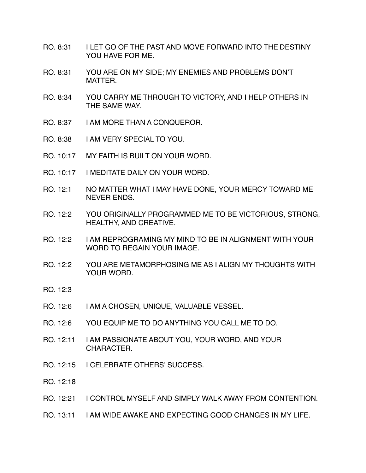- RO. 8:31 I LET GO OF THE PAST AND MOVE FORWARD INTO THE DESTINY YOU HAVE FOR ME.
- RO. 8:31 YOU ARE ON MY SIDE; MY ENEMIES AND PROBLEMS DON'T MATTER.
- RO. 8:34 YOU CARRY ME THROUGH TO VICTORY, AND I HELP OTHERS IN THE SAME WAY.
- RO. 8:37 I AM MORE THAN A CONQUEROR.
- RO. 8:38 I AM VERY SPECIAL TO YOU.
- RO. 10:17 MY FAITH IS BUILT ON YOUR WORD.
- RO. 10:17 I MEDITATE DAILY ON YOUR WORD.
- RO. 12:1 NO MATTER WHAT I MAY HAVE DONE, YOUR MERCY TOWARD ME NEVER ENDS.
- RO. 12:2 YOU ORIGINALLY PROGRAMMED ME TO BE VICTORIOUS, STRONG, HEALTHY, AND CREATIVE.
- RO. 12:2 I AM REPROGRAMING MY MIND TO BE IN ALIGNMENT WITH YOUR WORD TO REGAIN YOUR IMAGE.
- RO. 12:2 YOU ARE METAMORPHOSING ME AS I ALIGN MY THOUGHTS WITH YOUR WORD.
- RO. 12:3
- RO. 12:6 I AM A CHOSEN, UNIQUE, VALUABLE VESSEL.
- RO. 12:6 YOU EQUIP ME TO DO ANYTHING YOU CALL ME TO DO.
- RO. 12:11 I AM PASSIONATE ABOUT YOU, YOUR WORD, AND YOUR CHARACTER.
- RO. 12:15 I CELEBRATE OTHERS' SUCCESS.
- RO. 12:18
- RO. 12:21 I CONTROL MYSELF AND SIMPLY WALK AWAY FROM CONTENTION.
- RO. 13:11 I AM WIDE AWAKE AND EXPECTING GOOD CHANGES IN MY LIFE.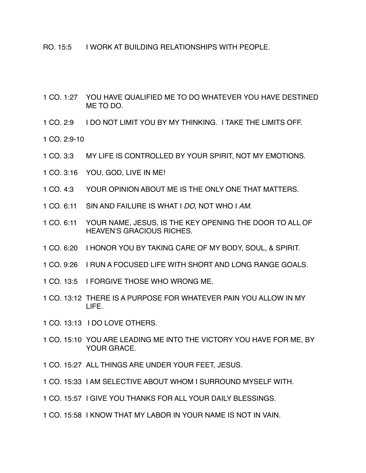- RO. 15:5 I WORK AT BUILDING RELATIONSHIPS WITH PEOPLE.
- 1 CO. 1:27 YOU HAVE QUALIFIED ME TO DO WHATEVER YOU HAVE DESTINED ME TO DO.
- 1 CO. 2:9 I DO NOT LIMIT YOU BY MY THINKING. I TAKE THE LIMITS OFF.
- 1 CO.  $2.9 10$
- 1 CO. 3:3 MY LIFE IS CONTROLLED BY YOUR SPIRIT, NOT MY EMOTIONS.
- 1 CO. 3:16 YOU, GOD, LIVE IN ME!
- 1 CO. 4:3 YOUR OPINION ABOUT ME IS THE ONLY ONE THAT MATTERS.
- 1 CO. 6:11 SIN AND FAILURE IS WHAT I *DO*, NOT WHO I *AM*.
- 1 CO. 6:11 YOUR NAME, JESUS, IS THE KEY OPENING THE DOOR TO ALL OF HEAVEN'S GRACIOUS RICHES.
- 1 CO. 6:20 I HONOR YOU BY TAKING CARE OF MY BODY, SOUL, & SPIRIT.
- 1 CO. 9:26 I RUN A FOCUSED LIFE WITH SHORT AND LONG RANGE GOALS.
- 1 CO. 13:5 I FORGIVE THOSE WHO WRONG ME.
- 1 CO. 13:12 THERE IS A PURPOSE FOR WHATEVER PAIN YOU ALLOW IN MY LIFE.
- 1 CO. 13:13 I DO LOVE OTHERS.
- 1 CO. 15:10 YOU ARE LEADING ME INTO THE VICTORY YOU HAVE FOR ME, BY YOUR GRACE.
- 1 CO. 15:27 ALL THINGS ARE UNDER YOUR FEET, JESUS.
- 1 CO. 15:33 I AM SELECTIVE ABOUT WHOM I SURROUND MYSELF WITH.
- 1 CO. 15:57 I GIVE YOU THANKS FOR ALL YOUR DAILY BLESSINGS.
- 1 CO. 15:58 I KNOW THAT MY LABOR IN YOUR NAME IS NOT IN VAIN.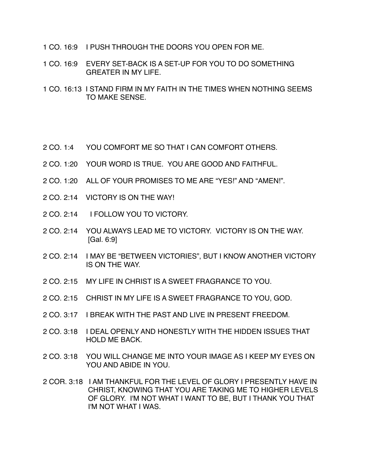- 1 CO. 16:9 I PUSH THROUGH THE DOORS YOU OPEN FOR ME.
- 1 CO. 16:9 EVERY SET-BACK IS A SET-UP FOR YOU TO DO SOMETHING GREATER IN MY LIFE.
- 1 CO. 16:13 I STAND FIRM IN MY FAITH IN THE TIMES WHEN NOTHING SEEMS TO MAKE SENSE.
- 2 CO. 1:4 YOU COMFORT ME SO THAT I CAN COMFORT OTHERS.
- 2 CO. 1:20 YOUR WORD IS TRUE. YOU ARE GOOD AND FAITHFUL.
- 2 CO. 1:20 ALL OF YOUR PROMISES TO ME ARE "YES!" AND "AMEN!".
- 2 CO. 2:14 VICTORY IS ON THE WAY!
- 2 CO. 2:14 I FOLLOW YOU TO VICTORY.
- 2 CO. 2:14 YOU ALWAYS LEAD ME TO VICTORY. VICTORY IS ON THE WAY. [Gal. 6:9]
- 2 CO. 2:14 I MAY BE "BETWEEN VICTORIES", BUT I KNOW ANOTHER VICTORY IS ON THE WAY.
- 2 CO. 2:15 MY LIFE IN CHRIST IS A SWEET FRAGRANCE TO YOU.
- 2 CO. 2:15 CHRIST IN MY LIFE IS A SWEET FRAGRANCE TO YOU, GOD.
- 2 CO. 3:17 I BREAK WITH THE PAST AND LIVE IN PRESENT FREEDOM.
- 2 CO. 3:18 I DEAL OPENLY AND HONESTLY WITH THE HIDDEN ISSUES THAT HOLD ME BACK.
- 2 CO. 3:18 YOU WILL CHANGE ME INTO YOUR IMAGE AS I KEEP MY EYES ON YOU AND ABIDE IN YOU.
- 2 COR. 3:18 I AM THANKFUL FOR THE LEVEL OF GLORY I PRESENTLY HAVE IN CHRIST, KNOWING THAT YOU ARE TAKING ME TO HIGHER LEVELS OF GLORY. I'M NOT WHAT I WANT TO BE, BUT I THANK YOU THAT I'M NOT WHAT I WAS.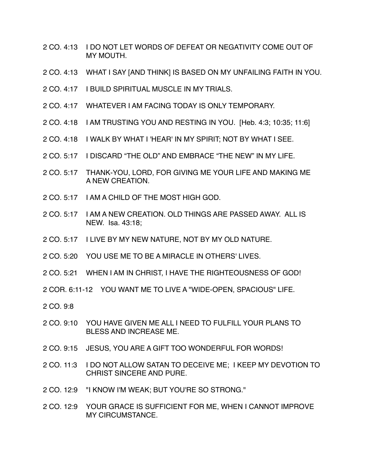- 2 CO. 4:13 I DO NOT LET WORDS OF DEFEAT OR NEGATIVITY COME OUT OF MY MOUTH.
- 2 CO. 4:13 WHAT I SAY [AND THINK] IS BASED ON MY UNFAILING FAITH IN YOU.
- 2 CO. 4:17 I BUILD SPIRITUAL MUSCLE IN MY TRIALS.
- 2 CO. 4:17 WHATEVER I AM FACING TODAY IS ONLY TEMPORARY.
- 2 CO. 4:18 I AM TRUSTING YOU AND RESTING IN YOU. [Heb. 4:3; 10:35; 11:6]
- 2 CO. 4:18 I WALK BY WHAT I 'HEAR' IN MY SPIRIT; NOT BY WHAT I SEE.
- 2 CO. 5:17 I DISCARD "THE OLD" AND EMBRACE "THE NEW" IN MY LIFE.
- 2 CO. 5:17 THANK-YOU, LORD, FOR GIVING ME YOUR LIFE AND MAKING ME A NEW CREATION.
- 2 CO. 5:17 I AM A CHILD OF THE MOST HIGH GOD.
- 2 CO. 5:17 I AM A NEW CREATION. OLD THINGS ARE PASSED AWAY. ALL IS NEW. Isa. 43:18;
- 2 CO. 5:17 I LIVE BY MY NEW NATURE, NOT BY MY OLD NATURE.
- 2 CO. 5:20 YOU USE ME TO BE A MIRACLE IN OTHERS' LIVES.
- 2 CO. 5:21 WHEN I AM IN CHRIST, I HAVE THE RIGHTEOUSNESS OF GOD!
- 2 COR. 6:11-12 YOU WANT ME TO LIVE A "WIDE-OPEN, SPACIOUS" LIFE.
- 2 CO. 9:8
- 2 CO. 9:10 YOU HAVE GIVEN ME ALL I NEED TO FULFILL YOUR PLANS TO BLESS AND INCREASE ME.
- 2 CO. 9:15 JESUS, YOU ARE A GIFT TOO WONDERFUL FOR WORDS!
- 2 CO. 11:3 I DO NOT ALLOW SATAN TO DECEIVE ME; I KEEP MY DEVOTION TO CHRIST SINCERE AND PURE.
- 2 CO. 12:9 "I KNOW I'M WEAK; BUT YOU'RE SO STRONG."
- 2 CO. 12:9 YOUR GRACE IS SUFFICIENT FOR ME, WHEN I CANNOT IMPROVE MY CIRCUMSTANCE.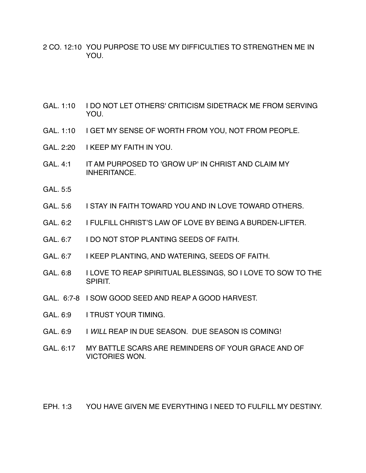- 2 CO. 12:10 YOU PURPOSE TO USE MY DIFFICULTIES TO STRENGTHEN ME IN YOU.
- GAL. 1:10 I DO NOT LET OTHERS' CRITICISM SIDETRACK ME FROM SERVING YOU.
- GAL. 1:10 I GET MY SENSE OF WORTH FROM YOU, NOT FROM PEOPLE.
- GAL. 2:20 I KEEP MY FAITH IN YOU.
- GAL. 4:1 IT AM PURPOSED TO 'GROW UP' IN CHRIST AND CLAIM MY INHERITANCE.
- GAL. 5:5
- GAL. 5:6 I STAY IN FAITH TOWARD YOU AND IN LOVE TOWARD OTHERS.
- GAL. 6:2 I FULFILL CHRIST'S LAW OF LOVE BY BEING A BURDEN- LIFTER.
- GAL. 6:7 I DO NOT STOP PLANTING SEEDS OF FAITH.
- GAL. 6:7 I KEEP PLANTING, AND WATERING, SEEDS OF FAITH.
- GAL. 6:8 I LOVE TO REAP SPIRITUAL BLESSINGS, SO I LOVE TO SOW TO THE SPIRIT.
- GAL. 6:7-8 I SOW GOOD SEED AND REAP A GOOD HARVEST.
- GAL. 6:9 I TRUST YOUR TIMING.
- GAL. 6:9 I *WILL* REAP IN DUE SEASON. DUE SEASON IS COMING!
- GAL. 6:17 MY BATTLE SCARS ARE REMINDERS OF YOUR GRACE AND OF VICTORIES WON.

EPH. 1:3 YOU HAVE GIVEN ME EVERYTHING I NEED TO FULFILL MY DESTINY.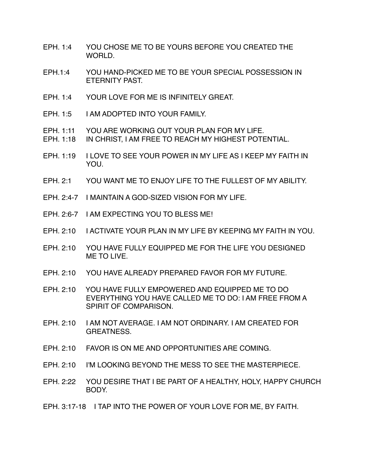- EPH. 1:4 YOU CHOSE ME TO BE YOURS BEFORE YOU CREATED THE WORLD.
- EPH.1:4 YOU HAND-PICKED ME TO BE YOUR SPECIAL POSSESSION IN ETERNITY PAST.
- EPH. 1:4 YOUR LOVE FOR ME IS INFINITELY GREAT.
- EPH. 1:5 I AM ADOPTED INTO YOUR FAMILY.
- EPH. 1:11 YOU ARE WORKING OUT YOUR PLAN FOR MY LIFE.
- EPH. 1:18 IN CHRIST, I AM FREE TO REACH MY HIGHEST POTENTIAL.
- EPH. 1:19 I LOVE TO SEE YOUR POWER IN MY LIFE AS I KEEP MY FAITH IN YOU.
- EPH. 2:1 YOU WANT ME TO ENJOY LIFE TO THE FULLEST OF MY ABILITY.
- EPH. 2:4-7 I MAINTAIN A GOD-SIZED VISION FOR MY LIFE.
- EPH. 2:6-7 I AM EXPECTING YOU TO BLESS ME!
- EPH. 2:10 I ACTIVATE YOUR PLAN IN MY LIFE BY KEEPING MY FAITH IN YOU.
- EPH. 2:10 YOU HAVE FULLY EQUIPPED ME FOR THE LIFE YOU DESIGNED ME TO LIVE.
- EPH. 2:10 YOU HAVE ALREADY PREPARED FAVOR FOR MY FUTURE.
- EPH. 2:10 YOU HAVE FULLY EMPOWERED AND EQUIPPED ME TO DO EVERYTHING YOU HAVE CALLED ME TO DO: I AM FREE FROM A SPIRIT OF COMPARISON.
- EPH. 2:10 I AM NOT AVERAGE. I AM NOT ORDINARY. I AM CREATED FOR GREATNESS.
- EPH. 2:10 FAVOR IS ON ME AND OPPORTUNITIES ARE COMING.
- EPH. 2:10 I'M LOOKING BEYOND THE MESS TO SEE THE MASTERPIECE.
- EPH. 2:22 YOU DESIRE THAT I BE PART OF A HEALTHY, HOLY, HAPPY CHURCH BODY.
- EPH. 3:17-18 I TAP INTO THE POWER OF YOUR LOVE FOR ME, BY FAITH.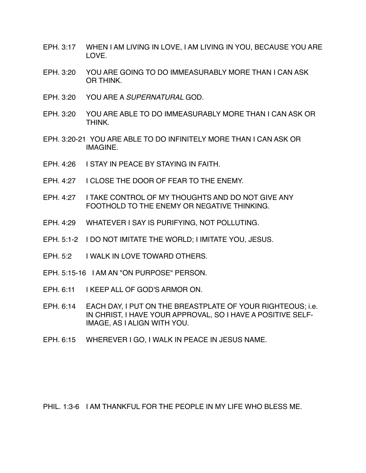- EPH. 3:17 WHEN I AM LIVING IN LOVE, I AM LIVING IN YOU, BECAUSE YOU ARE LOVE.
- EPH. 3:20 YOU ARE GOING TO DO IMMEASURABLY MORE THAN I CAN ASK OR THINK.
- EPH. 3:20 YOU ARE A *SUPERNATURAL* GOD.
- EPH. 3:20 YOU ARE ABLE TO DO IMMEASURABLY MORE THAN I CAN ASK OR THINK.
- EPH. 3:20-21 YOU ARE ABLE TO DO INFINITELY MORE THAN I CAN ASK OR IMAGINE.
- EPH. 4:26 I STAY IN PEACE BY STAYING IN FAITH.
- EPH. 4:27 I CLOSE THE DOOR OF FEAR TO THE ENEMY.
- EPH. 4:27 I TAKE CONTROL OF MY THOUGHTS AND DO NOT GIVE ANY FOOTHOLD TO THE ENEMY OR NEGATIVE THINKING.
- EPH. 4:29 WHATEVER I SAY IS PURIFYING, NOT POLLUTING.
- EPH. 5:1-2 I DO NOT IMITATE THE WORLD; I IMITATE YOU, JESUS.
- EPH. 5:2 I WALK IN LOVE TOWARD OTHERS.
- EPH. 5:15-16 I AM AN "ON PURPOSE" PERSON.
- EPH. 6:11 I KEEP ALL OF GOD'S ARMOR ON.
- EPH. 6:14 EACH DAY, I PUT ON THE BREASTPLATE OF YOUR RIGHTEOUS; i.e. IN CHRIST, I HAVE YOUR APPROVAL, SO I HAVE A POSITIVE SELF-IMAGE, AS I ALIGN WITH YOU.
- EPH. 6:15 WHEREVER I GO, I WALK IN PEACE IN JESUS NAME.

PHIL. 1:3-6 I AM THANKFUL FOR THE PEOPLE IN MY LIFE WHO BLESS ME.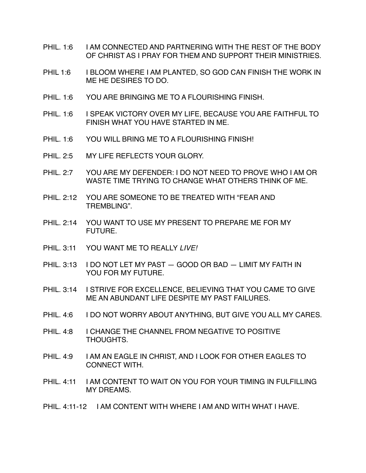- PHIL. 1:6 I AM CONNECTED AND PARTNERING WITH THE REST OF THE BODY OF CHRIST AS I PRAY FOR THEM AND SUPPORT THEIR MINISTRIES.
- PHIL 1:6 I BLOOM WHERE I AM PLANTED, SO GOD CAN FINISH THE WORK IN ME HE DESIRES TO DO.
- PHIL. 1:6 YOU ARE BRINGING ME TO A FLOURISHING FINISH.
- PHIL. 1:6 I SPEAK VICTORY OVER MY LIFE, BECAUSE YOU ARE FAITHFUL TO FINISH WHAT YOU HAVE STARTED IN ME.
- PHIL 1:6 YOU WILL BRING ME TO A FLOURISHING FINISH!
- PHIL. 2:5 MY LIFE REFLECTS YOUR GLORY.
- PHIL. 2:7 YOU ARE MY DEFENDER: I DO NOT NEED TO PROVE WHO I AM OR WASTE TIME TRYING TO CHANGE WHAT OTHERS THINK OF ME.
- PHIL. 2:12 YOU ARE SOMEONE TO BE TREATED WITH "FEAR AND TREMBLING".
- PHIL. 2:14 YOU WANT TO USE MY PRESENT TO PREPARE ME FOR MY FUTURE.
- PHIL. 3:11 YOU WANT ME TO REALLY *LIVE!*
- PHIL. 3:13 I DO NOT LET MY PAST GOOD OR BAD LIMIT MY FAITH IN YOU FOR MY FUTURE.
- PHIL. 3:14 I STRIVE FOR EXCELLENCE, BELIEVING THAT YOU CAME TO GIVE ME AN ABUNDANT LIFE DESPITE MY PAST FAILURES.
- PHIL. 4:6 I DO NOT WORRY ABOUT ANYTHING, BUT GIVE YOU ALL MY CARES.
- PHIL. 4:8 I CHANGE THE CHANNEL FROM NEGATIVE TO POSITIVE THOUGHTS.
- PHIL. 4:9 I AM AN EAGLE IN CHRIST, AND I LOOK FOR OTHER EAGLES TO CONNECT WITH.
- PHIL. 4:11 I AM CONTENT TO WAIT ON YOU FOR YOUR TIMING IN FULFILLING MY DREAMS.
- PHIL. 4:11-12 I AM CONTENT WITH WHERE I AM AND WITH WHAT I HAVE.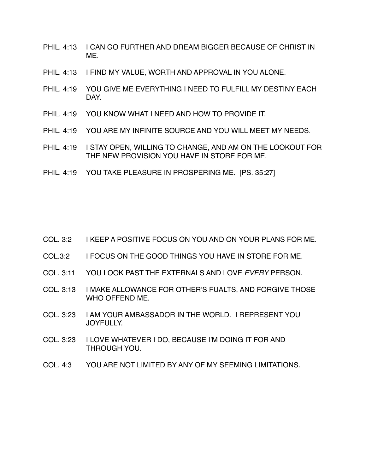- PHIL. 4:13 I CAN GO FURTHER AND DREAM BIGGER BECAUSE OF CHRIST IN ME.
- PHIL. 4:13 I FIND MY VALUE, WORTH AND APPROVAL IN YOU ALONE.
- PHIL. 4:19 YOU GIVE ME EVERYTHING I NEED TO FULFILL MY DESTINY EACH DAY.
- PHIL. 4:19 YOU KNOW WHAT I NEED AND HOW TO PROVIDE IT.
- PHIL. 4:19 YOU ARE MY INFINITE SOURCE AND YOU WILL MEET MY NEEDS.
- PHIL. 4:19 I STAY OPEN, WILLING TO CHANGE, AND AM ON THE LOOKOUT FOR THE NEW PROVISION YOU HAVE IN STORE FOR ME.
- PHIL. 4:19 YOU TAKE PLEASURE IN PROSPERING ME. [PS. 35:27]

| I KEEP A POSITIVE FOCUS ON YOU AND ON YOUR PLANS FOR ME.<br>COL. 3:2 |
|----------------------------------------------------------------------|
|----------------------------------------------------------------------|

- COL.3:2 I FOCUS ON THE GOOD THINGS YOU HAVE IN STORE FOR ME.
- COL. 3:11 YOU LOOK PAST THE EXTERNALS AND LOVE *EVERY* PERSON.
- COL. 3:13 I MAKE ALLOWANCE FOR OTHER'S FUALTS, AND FORGIVE THOSE WHO OFFEND ME.
- COL. 3:23 I AM YOUR AMBASSADOR IN THE WORLD. I REPRESENT YOU JOYFULLY.
- COL. 3:23 I LOVE WHATEVER I DO, BECAUSE I'M DOING IT FOR AND THROUGH YOU.
- COL. 4:3 YOU ARE NOT LIMITED BY ANY OF MY SEEMING LIMITATIONS.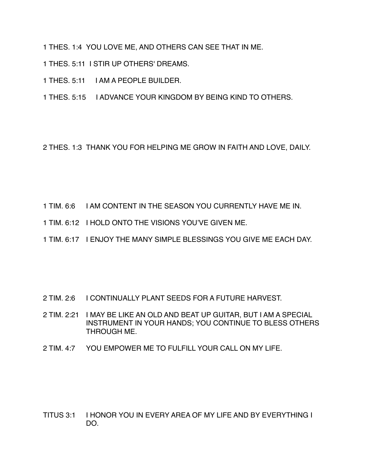1 THES. 1:4 YOU LOVE ME, AND OTHERS CAN SEE THAT IN ME.

- 1 THES. 5:11 I STIR UP OTHERS' DREAMS.
- 1 THES. 5:11 I AM A PEOPLE BUILDER.

1 THES. 5:15 I ADVANCE YOUR KINGDOM BY BEING KIND TO OTHERS.

2 THES. 1:3 THANK YOU FOR HELPING ME GROW IN FAITH AND LOVE, DAILY.

- 1 TIM. 6:6 I AM CONTENT IN THE SEASON YOU CURRENTLY HAVE ME IN.
- 1 TIM. 6:12 I HOLD ONTO THE VISIONS YOU'VE GIVEN ME.
- 1 TIM. 6:17 I ENJOY THE MANY SIMPLE BLESSINGS YOU GIVE ME EACH DAY.

- 2 TIM. 2:6 I CONTINUALLY PLANT SEEDS FOR A FUTURE HARVEST.
- 2 TIM. 2:21 I MAY BE LIKE AN OLD AND BEAT UP GUITAR, BUT I AM A SPECIAL INSTRUMENT IN YOUR HANDS; YOU CONTINUE TO BLESS OTHERS THROUGH ME.
- 2 TIM. 4:7 YOU EMPOWER ME TO FULFILL YOUR CALL ON MY LIFE.

TITUS 3:1 I HONOR YOU IN EVERY AREA OF MY LIFE AND BY EVERYTHING I DO.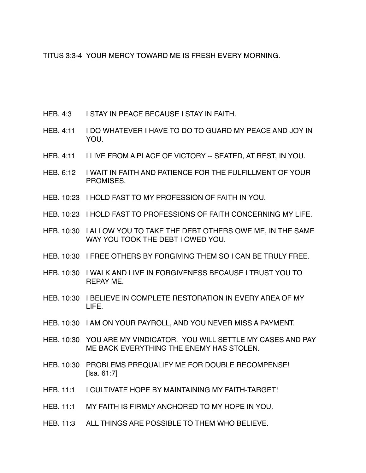TITUS 3:3-4 YOUR MERCY TOWARD ME IS FRESH EVERY MORNING.

- HEB. 4:3 I STAY IN PEACE BECAUSE I STAY IN FAITH.
- HEB. 4:11 I DO WHATEVER I HAVE TO DO TO GUARD MY PEACE AND JOY IN YOU.
- HEB. 4:11 I LIVE FROM A PLACE OF VICTORY -- SEATED, AT REST, IN YOU.
- HEB. 6:12 I WAIT IN FAITH AND PATIENCE FOR THE FULFILLMENT OF YOUR PROMISES.
- HEB. 10:23 I HOLD FAST TO MY PROFESSION OF FAITH IN YOU.
- HEB. 10:23 I HOLD FAST TO PROFESSIONS OF FAITH CONCERNING MY LIFE.
- HEB. 10:30 I ALLOW YOU TO TAKE THE DEBT OTHERS OWE ME, IN THE SAME WAY YOU TOOK THE DEBT I OWED YOU.
- HEB. 10:30 I FREE OTHERS BY FORGIVING THEM SO I CAN BE TRULY FREE.
- HEB. 10:30 I WALK AND LIVE IN FORGIVENESS BECAUSE I TRUST YOU TO REPAY ME.
- HEB. 10:30 I BELIEVE IN COMPLETE RESTORATION IN EVERY AREA OF MY LIFE.
- HEB. 10:30 I AM ON YOUR PAYROLL, AND YOU NEVER MISS A PAYMENT.
- HEB. 10:30 YOU ARE MY VINDICATOR. YOU WILL SETTLE MY CASES AND PAY ME BACK EVERYTHING THE ENEMY HAS STOLEN.
- HEB. 10:30 PROBLEMS PREQUALIFY ME FOR DOUBLE RECOMPENSE! [Isa. 61:7]
- HEB. 11:1 I CULTIVATE HOPE BY MAINTAINING MY FAITH-TARGET!
- HEB. 11:1 MY FAITH IS FIRMLY ANCHORED TO MY HOPE IN YOU.
- HEB. 11:3 ALL THINGS ARE POSSIBLE TO THEM WHO BELIEVE.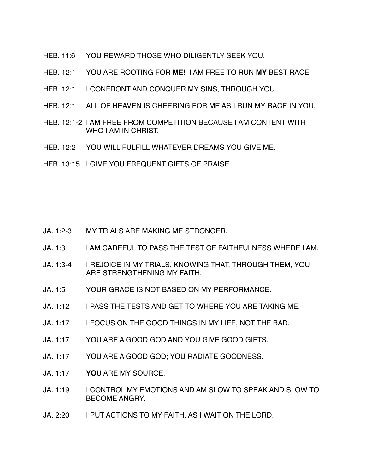- HEB. 11:6 YOU REWARD THOSE WHO DILIGENTLY SEEK YOU.
- HEB. 12:1 YOU ARE ROOTING FOR **ME**! I AM FREE TO RUN **MY** BEST RACE.
- HEB. 12:1 I CONFRONT AND CONQUER MY SINS, THROUGH YOU.
- HEB. 12:1 ALL OF HEAVEN IS CHEERING FOR ME AS I RUN MY RACE IN YOU.
- HEB. 12:1-2 I AM FREE FROM COMPETITION BECAUSE I AM CONTENT WITH WHO I AM IN CHRIST.
- HEB. 12:2 YOU WILL FULFILL WHATEVER DREAMS YOU GIVE ME.
- HEB. 13:15 I GIVE YOU FREQUENT GIFTS OF PRAISE.

- JA. 1:2-3 MY TRIALS ARE MAKING ME STRONGER.
- JA. 1:3 I AM CAREFUL TO PASS THE TEST OF FAITHFULNESS WHERE I AM.
- JA. 1:3-4 I REJOICE IN MY TRIALS, KNOWING THAT, THROUGH THEM, YOU ARE STRENGTHENING MY FAITH.
- JA. 1:5 YOUR GRACE IS NOT BASED ON MY PERFORMANCE.
- JA. 1:12 I PASS THE TESTS AND GET TO WHERE YOU ARE TAKING ME.
- JA. 1:17 I FOCUS ON THE GOOD THINGS IN MY LIFE, NOT THE BAD.
- JA. 1:17 YOU ARE A GOOD GOD AND YOU GIVE GOOD GIFTS.
- JA. 1:17 YOU ARE A GOOD GOD; YOU RADIATE GOODNESS.
- JA. 1:17 **YOU** ARE MY SOURCE.
- JA. 1:19 I CONTROL MY EMOTIONS AND AM SLOW TO SPEAK AND SLOW TO BECOME ANGRY.
- JA. 2:20 I PUT ACTIONS TO MY FAITH, AS I WAIT ON THE LORD.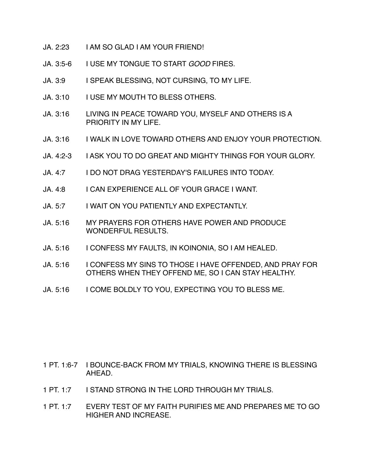- JA. 2:23 I AM SO GLAD I AM YOUR FRIEND!
- JA. 3:5-6 I USE MY TONGUE TO START *GOOD* FIRES.
- JA. 3:9 I SPEAK BLESSING, NOT CURSING, TO MY LIFE.
- JA. 3:10 I USE MY MOUTH TO BLESS OTHERS.
- JA. 3:16 LIVING IN PEACE TOWARD YOU, MYSELF AND OTHERS IS A PRIORITY IN MY LIFE.
- JA. 3:16 I WALK IN LOVE TOWARD OTHERS AND ENJOY YOUR PROTECTION.
- JA. 4:2-3 I ASK YOU TO DO GREAT AND MIGHTY THINGS FOR YOUR GLORY.
- JA. 4:7 I DO NOT DRAG YESTERDAY'S FAILURES INTO TODAY.
- JA. 4:8 I CAN EXPERIENCE ALL OF YOUR GRACE I WANT.
- JA. 5:7 I WAIT ON YOU PATIENTLY AND EXPECTANTLY.
- JA. 5:16 MY PRAYERS FOR OTHERS HAVE POWER AND PRODUCE WONDERFUL RESULTS.
- JA. 5:16 I CONFESS MY FAULTS, IN KOINONIA, SO I AM HEALED.
- JA. 5:16 | CONFESS MY SINS TO THOSE I HAVE OFFENDED, AND PRAY FOR OTHERS WHEN THEY OFFEND ME, SO I CAN STAY HEALTHY.
- JA. 5:16 I COME BOLDLY TO YOU, EXPECTING YOU TO BLESS ME.

- 1 PT. 1:6-7 I BOUNCE-BACK FROM MY TRIALS, KNOWING THERE IS BLESSING AHEAD.
- 1 PT. 1:7 I STAND STRONG IN THE LORD THROUGH MY TRIALS.
- 1 PT. 1:7 EVERY TEST OF MY FAITH PURIFIES ME AND PREPARES ME TO GO HIGHER AND INCREASE.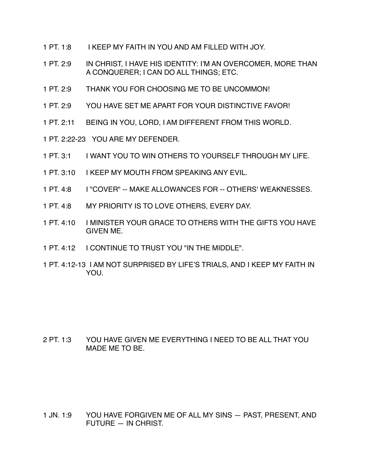- 1 PT. 1:8 I KEEP MY FAITH IN YOU AND AM FILLED WITH JOY.
- 1 PT. 2:9 IN CHRIST, I HAVE HIS IDENTITY: I'M AN OVERCOMER, MORE THAN A CONQUERER; I CAN DO ALL THINGS; ETC.
- 1 PT. 2:9 THANK YOU FOR CHOOSING ME TO BE UNCOMMON!
- 1 PT. 2:9 YOU HAVE SET ME APART FOR YOUR DISTINCTIVE FAVOR!
- 1 PT. 2:11 BEING IN YOU, LORD, I AM DIFFERENT FROM THIS WORLD.
- 1 PT. 2:22-23 YOU ARE MY DEFENDER.
- 1 PT. 3:1 I WANT YOU TO WIN OTHERS TO YOURSELF THROUGH MY LIFE.
- 1 PT. 3:10 I KEEP MY MOUTH FROM SPEAKING ANY EVIL.
- 1 PT. 4:8 I "COVER" -- MAKE ALLOWANCES FOR -- OTHERS' WEAKNESSES.
- 1 PT. 4:8 MY PRIORITY IS TO LOVE OTHERS, EVERY DAY.
- 1 PT. 4:10 I MINISTER YOUR GRACE TO OTHERS WITH THE GIFTS YOU HAVE GIVEN ME.
- 1 PT. 4:12 I CONTINUE TO TRUST YOU "IN THE MIDDLE".
- 1 PT. 4:12-13 I AM NOT SURPRISED BY LIFE'S TRIALS, AND I KEEP MY FAITH IN YOU.

2 PT. 1:3 YOU HAVE GIVEN ME EVERYTHING I NEED TO BE ALL THAT YOU MADE ME TO BE.

1 JN. 1:9 YOU HAVE FORGIVEN ME OF ALL MY SINS — PAST, PRESENT, AND FUTURE — IN CHRIST.